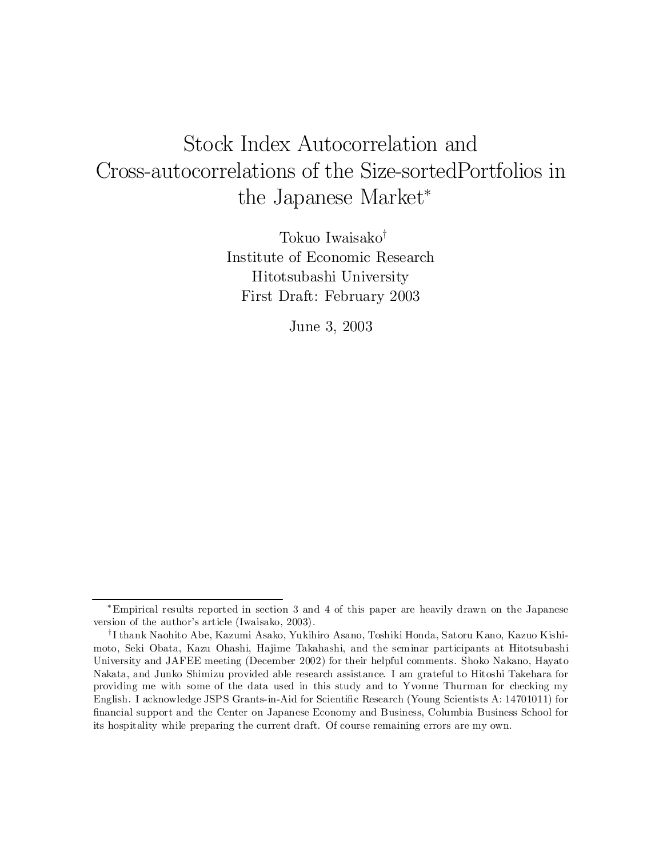# Stock Index Autocorrelation and Cross-autocorrelations of the Size-sortedPortfolios in the Japanese Market<sup>\*</sup>

Tokuo Iwaisako<sup>†</sup> Institute of Economic Research Hitotsubashi University First Draft: February 2003

June 3, 2003

<sup>¤</sup>Empirical results reported in section 3 and 4 of this paper are heavily drawn on the Japanese version of the author's article (Iwaisako, 2003).

 $^\intercal$ I thank Naohito Abe, Kazumi Asako, Yukihiro Asano, Toshiki Honda, Satoru Kano, Kazuo Kishimoto, Seki Obata, Kazu Ohashi, Hajime Takahashi, and the seminar participants at Hitotsubashi University and JAFEE meeting (December 2002) for their helpful comments. Shoko Nakano, Hayato Nakata, and Junko Shimizu provided able research assistance. I am grateful to Hitoshi Takehara for providing me with some of the data used in this study and to Yvonne Thurman for checking my English. I acknowledge JSPS Grants-in-Aid for Scientific Research (Young Scientists A: 14701011) for ¯nancial support and the Center on Japanese Economy and Business, Columbia Business School for its hospitality while preparing the current draft. Of course remaining errors are my own.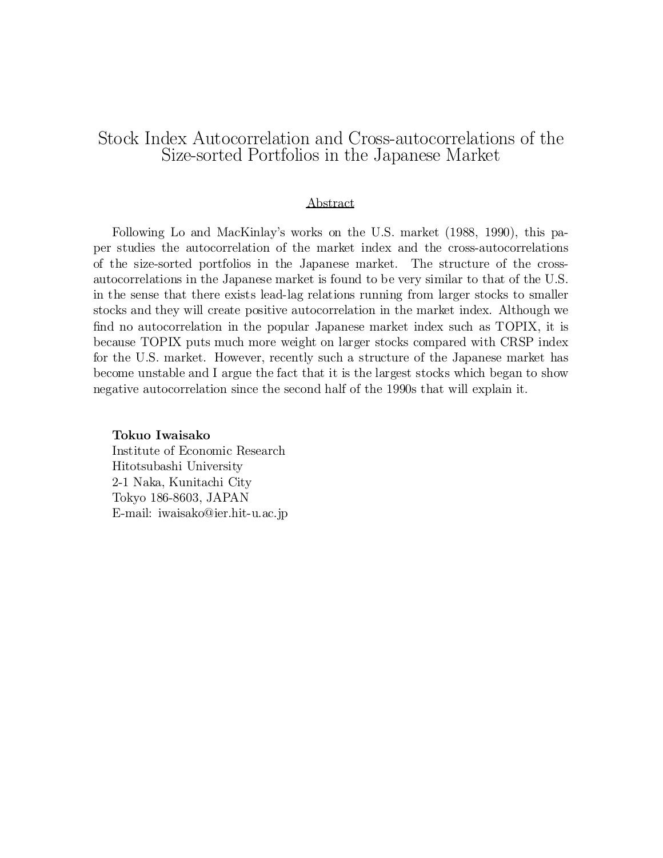### Stock Index Autocorrelation and Cross-autocorrelations of the Size-sorted Portfolios in the Japanese Market

### Abstract

Following Lo and MacKinlay's works on the U.S. market (1988, 1990), this paper studies the autocorrelation of the market index and the cross-autocorrelations of the size-sorted portfolios in the Japanese market. The structure of the crossautocorrelations in the Japanese market is found to be very similar to that of the U.S. in the sense that there exists lead-lag relations running from larger stocks to smaller stocks and they will create positive autocorrelation in the market index. Although we find no autocorrelation in the popular Japanese market index such as TOPIX, it is because TOPIX puts much more weight on larger stocks compared with CRSP index for the U.S. market. However, recently such a structure of the Japanese market has become unstable and I argue the fact that it is the largest stocks which began to show negative autocorrelation since the second half of the 1990s that will explain it.

### Tokuo Iwaisako Institute of Economic Research Hitotsubashi University 2-1 Naka, Kunitachi City Tokyo 186-8603, JAPAN

E-mail: iwaisako@ier.hit-u.ac.jp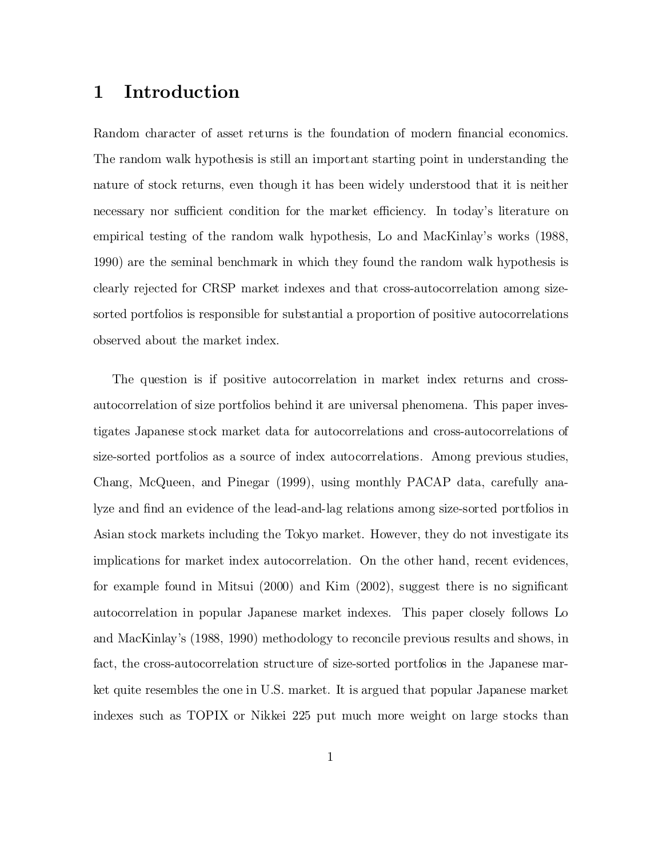## 1 Introduction

Random character of asset returns is the foundation of modern financial economics. The random walk hypothesis is still an important starting point in understanding the nature of stock returns, even though it has been widely understood that it is neither necessary nor sufficient condition for the market efficiency. In today's literature on empirical testing of the random walk hypothesis, Lo and MacKinlay's works (1988, 1990) are the seminal benchmark in which they found the random walk hypothesis is clearly rejected for CRSP market indexes and that cross-autocorrelation among sizesorted portfolios is responsible for substantial a proportion of positive autocorrelations observed about the market index.

The question is if positive autocorrelation in market index returns and crossautocorrelation of size portfolios behind it are universal phenomena. This paper investigates Japanese stock market data for autocorrelations and cross-autocorrelations of size-sorted portfolios as a source of index autocorrelations. Among previous studies, Chang, McQueen, and Pinegar (1999), using monthly PACAP data, carefully analyze and find an evidence of the lead-and-lag relations among size-sorted portfolios in Asian stock markets including the Tokyo market. However, they do not investigate its implications for market index autocorrelation. On the other hand, recent evidences, for example found in Mitsui  $(2000)$  and Kim  $(2002)$ , suggest there is no significant autocorrelation in popular Japanese market indexes. This paper closely follows Lo and MacKinlay's (1988, 1990) methodology to reconcile previous results and shows, in fact, the cross-autocorrelation structure of size-sorted portfolios in the Japanese market quite resembles the one in U.S. market. It is argued that popular Japanese market indexes such as TOPIX or Nikkei 225 put much more weight on large stocks than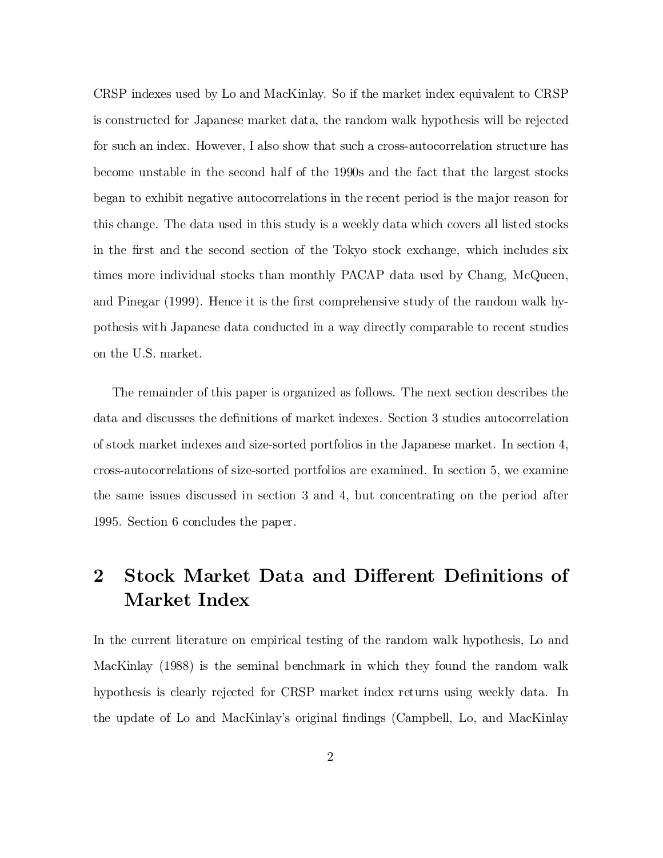CRSP indexes used by Lo and MacKinlay. So if the market index equivalent to CRSP is constructed for Japanese market data, the random walk hypothesis will be rejected for such an index. However, I also show that such a cross-autocorrelation structure has become unstable in the second half of the 1990s and the fact that the largest stocks began to exhibit negative autocorrelations in the recent period is the major reason for this change. The data used in this study is a weekly data which covers all listed stocks in the first and the second section of the Tokyo stock exchange, which includes six times more individual stocks than monthly PACAP data used by Chang, McQueen, and Pinegar (1999). Hence it is the first comprehensive study of the random walk hypothesis with Japanese data conducted in a way directly comparable to recent studies on the U.S. market.

The remainder of this paper is organized as follows. The next section describes the data and discusses the definitions of market indexes. Section 3 studies autocorrelation of stock market indexes and size-sorted portfolios in the Japanese market. In section 4, cross-autocorrelations of size-sorted portfolios are examined. In section 5, we examine the same issues discussed in section 3 and 4, but concentrating on the period after 1995. Section 6 concludes the paper.

## 2 Stock Market Data and Different Definitions of Market Index

In the current literature on empirical testing of the random walk hypothesis, Lo and MacKinlay (1988) is the seminal benchmark in which they found the random walk hypothesis is clearly rejected for CRSP market index returns using weekly data. In the update of Lo and MacKinlay's original findings (Campbell, Lo, and MacKinlay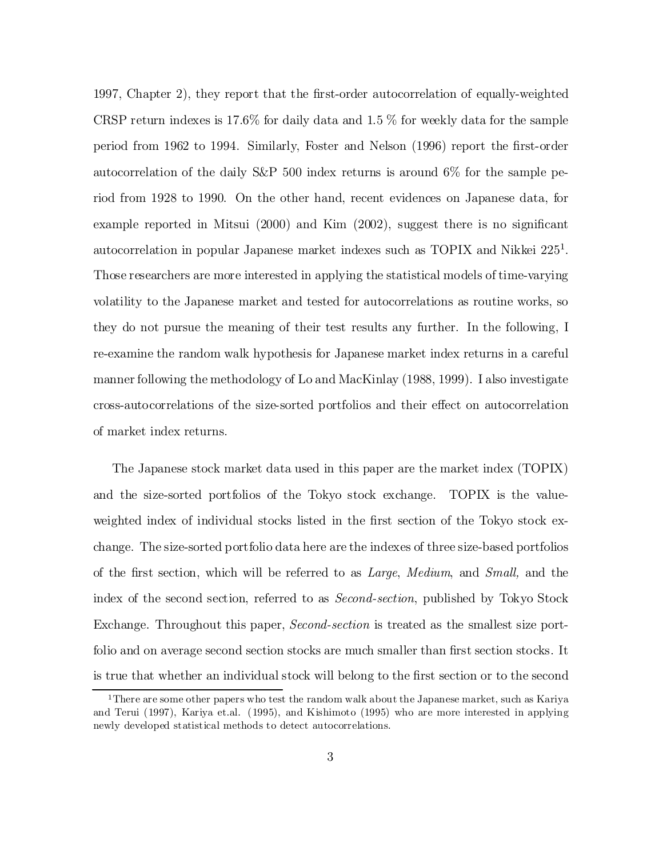1997, Chapter 2), they report that the first-order autocorrelation of equally-weighted CRSP return indexes is  $17.6\%$  for daily data and  $1.5\%$  for weekly data for the sample period from 1962 to 1994. Similarly, Foster and Nelson (1996) report the first-order autocorrelation of the daily S&P 500 index returns is around 6% for the sample period from 1928 to 1990. On the other hand, recent evidences on Japanese data, for example reported in Mitsui  $(2000)$  and Kim  $(2002)$ , suggest there is no significant autocorrelation in popular Japanese market indexes such as TOPIX and Nikkei 225<sup>1</sup>. Those researchers are more interested in applying the statistical models of time-varying volatility to the Japanese market and tested for autocorrelations as routine works, so they do not pursue the meaning of their test results any further. In the following, I re-examine the random walk hypothesis for Japanese market index returns in a careful manner following the methodology of Lo and MacKinlay (1988, 1999). I also investigate cross-autocorrelations of the size-sorted portfolios and their effect on autocorrelation of market index returns.

The Japanese stock market data used in this paper are the market index (TOPIX) and the size-sorted portfolios of the Tokyo stock exchange. TOPIX is the valueweighted index of individual stocks listed in the first section of the Tokyo stock exchange. The size-sorted portfolio data here are the indexes of three size-based portfolios of the first section, which will be referred to as  $Large$ , Medium, and Small, and the index of the second section, referred to as Second-section, published by Tokyo Stock Exchange. Throughout this paper, *Second-section* is treated as the smallest size portfolio and on average second section stocks are much smaller than first section stocks. It is true that whether an individual stock will belong to the first section or to the second

<sup>1</sup>There are some other papers who test the random walk about the Japanese market, such as Kariya and Terui (1997), Kariya et.al. (1995), and Kishimoto (1995) who are more interested in applying newly developed statistical methods to detect autocorrelations.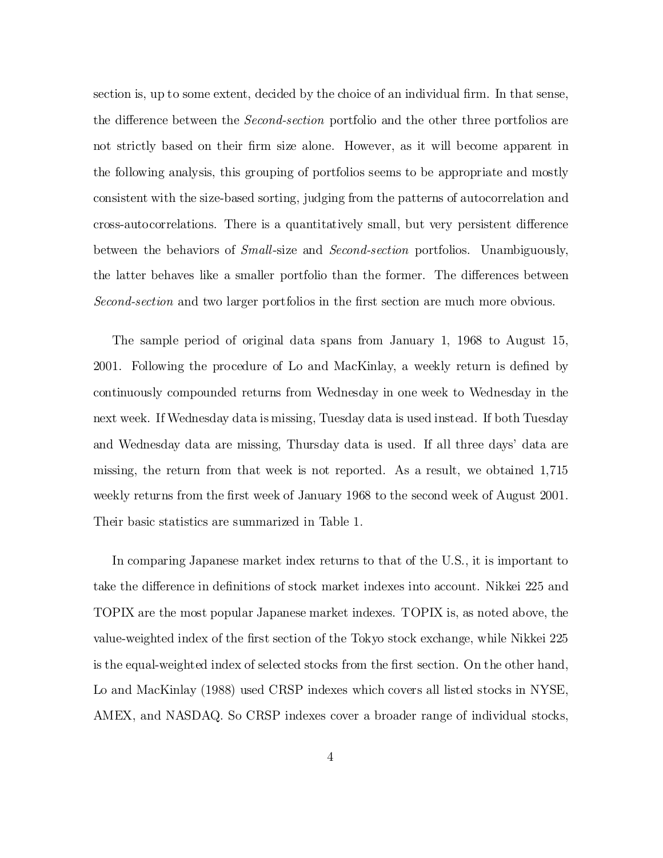section is, up to some extent, decided by the choice of an individual firm. In that sense, the difference between the *Second-section* portfolio and the other three portfolios are not strictly based on their firm size alone. However, as it will become apparent in the following analysis, this grouping of portfolios seems to be appropriate and mostly consistent with the size-based sorting, judging from the patterns of autocorrelation and cross-autocorrelations. There is a quantitatively small, but very persistent difference between the behaviors of Small-size and Second-section portfolios. Unambiguously, the latter behaves like a smaller portfolio than the former. The differences between Second-section and two larger portfolios in the first section are much more obvious.

The sample period of original data spans from January 1, 1968 to August 15, 2001. Following the procedure of Lo and MacKinlay, a weekly return is defined by continuously compounded returns from Wednesday in one week to Wednesday in the next week. If Wednesday data is missing, Tuesday data is used instead. If both Tuesday and Wednesday data are missing, Thursday data is used. If all three days' data are missing, the return from that week is not reported. As a result, we obtained 1,715 weekly returns from the first week of January 1968 to the second week of August 2001. Their basic statistics are summarized in Table 1.

In comparing Japanese market index returns to that of the U.S., it is important to take the difference in definitions of stock market indexes into account. Nikkei 225 and TOPIX are the most popular Japanese market indexes. TOPIX is, as noted above, the value-weighted index of the first section of the Tokyo stock exchange, while Nikkei 225 is the equal-weighted index of selected stocks from the first section. On the other hand, Lo and MacKinlay (1988) used CRSP indexes which covers all listed stocks in NYSE, AMEX, and NASDAQ. So CRSP indexes cover a broader range of individual stocks,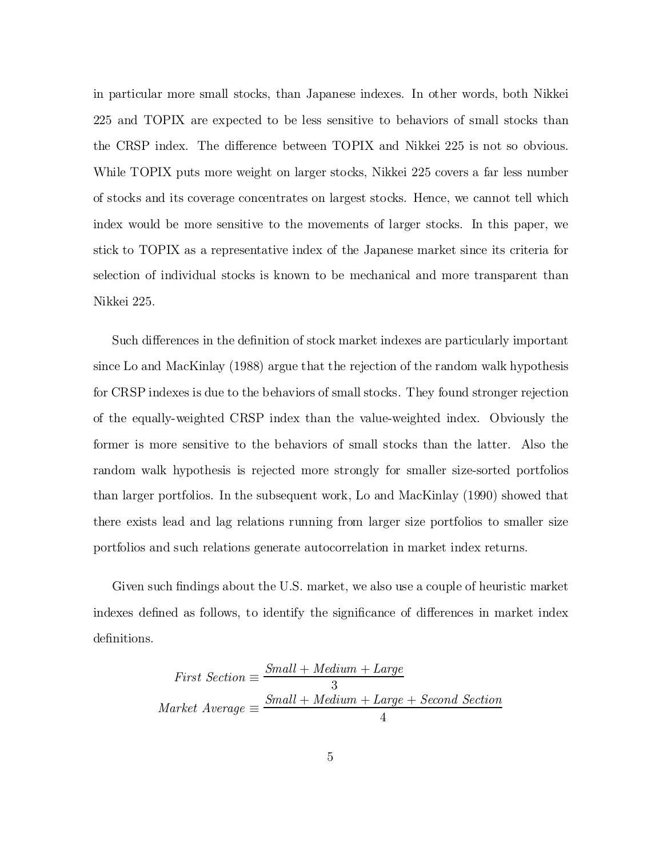in particular more small stocks, than Japanese indexes. In other words, both Nikkei 225 and TOPIX are expected to be less sensitive to behaviors of small stocks than the CRSP index. The difference between TOPIX and Nikkei 225 is not so obvious. While TOPIX puts more weight on larger stocks, Nikkei 225 covers a far less number of stocks and its coverage concentrates on largest stocks. Hence, we cannot tell which index would be more sensitive to the movements of larger stocks. In this paper, we stick to TOPIX as a representative index of the Japanese market since its criteria for selection of individual stocks is known to be mechanical and more transparent than Nikkei 225.

Such differences in the definition of stock market indexes are particularly important since Lo and MacKinlay (1988) argue that the rejection of the random walk hypothesis for CRSP indexes is due to the behaviors of small stocks. They found stronger rejection of the equally-weighted CRSP index than the value-weighted index. Obviously the former is more sensitive to the behaviors of small stocks than the latter. Also the random walk hypothesis is rejected more strongly for smaller size-sorted portfolios than larger portfolios. In the subsequent work, Lo and MacKinlay (1990) showed that there exists lead and lag relations running from larger size portfolios to smaller size portfolios and such relations generate autocorrelation in market index returns.

Given such findings about the U.S. market, we also use a couple of heuristic market indexes defined as follows, to identify the significance of differences in market index definitions.

$$
First Section \equiv \frac{Small + Medium + Large}{3}
$$
\n
$$
Market\ Average \equiv \frac{Small + Medium + Large + Second\ Section}{4}
$$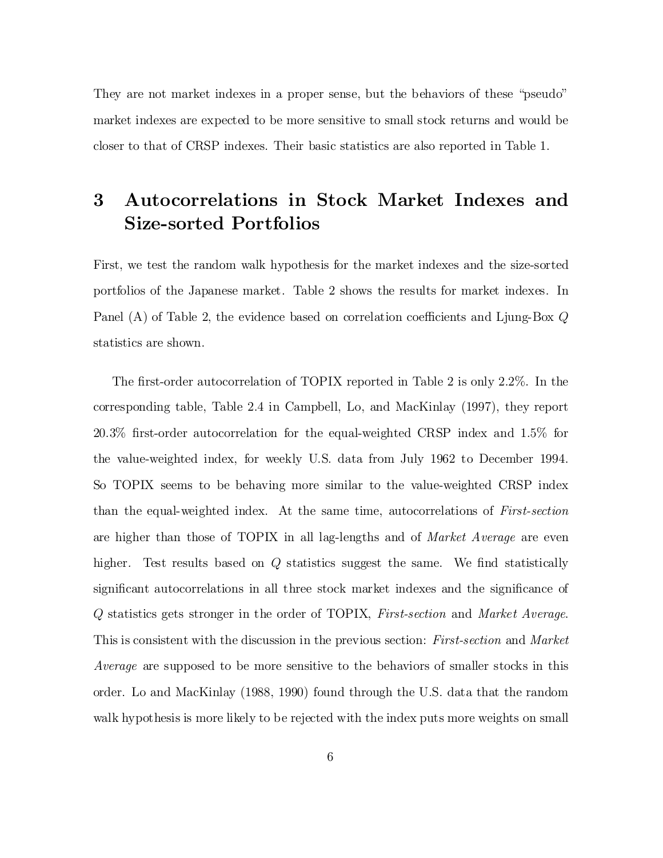They are not market indexes in a proper sense, but the behaviors of these "pseudo" market indexes are expected to be more sensitive to small stock returns and would be closer to that of CRSP indexes. Their basic statistics are also reported in Table 1.

## 3 Autocorrelations in Stock Market Indexes and Size-sorted Portfolios

First, we test the random walk hypothesis for the market indexes and the size-sorted portfolios of the Japanese market. Table 2 shows the results for market indexes. In Panel (A) of Table 2, the evidence based on correlation coefficients and Ljung-Box  $Q$ statistics are shown.

The first-order autocorrelation of TOPIX reported in Table 2 is only  $2.2\%$ . In the corresponding table, Table 2.4 in Campbell, Lo, and MacKinlay (1997), they report 20.3% first-order autocorrelation for the equal-weighted CRSP index and 1.5% for the value-weighted index, for weekly U.S. data from July 1962 to December 1994. So TOPIX seems to be behaving more similar to the value-weighted CRSP index than the equal-weighted index. At the same time, autocorrelations of First-section are higher than those of TOPIX in all lag-lengths and of Market Average are even higher. Test results based on  $Q$  statistics suggest the same. We find statistically significant autocorrelations in all three stock market indexes and the significance of Q statistics gets stronger in the order of TOPIX, First-section and Market Average. This is consistent with the discussion in the previous section: *First-section* and *Market* Average are supposed to be more sensitive to the behaviors of smaller stocks in this order. Lo and MacKinlay (1988, 1990) found through the U.S. data that the random walk hypothesis is more likely to be rejected with the index puts more weights on small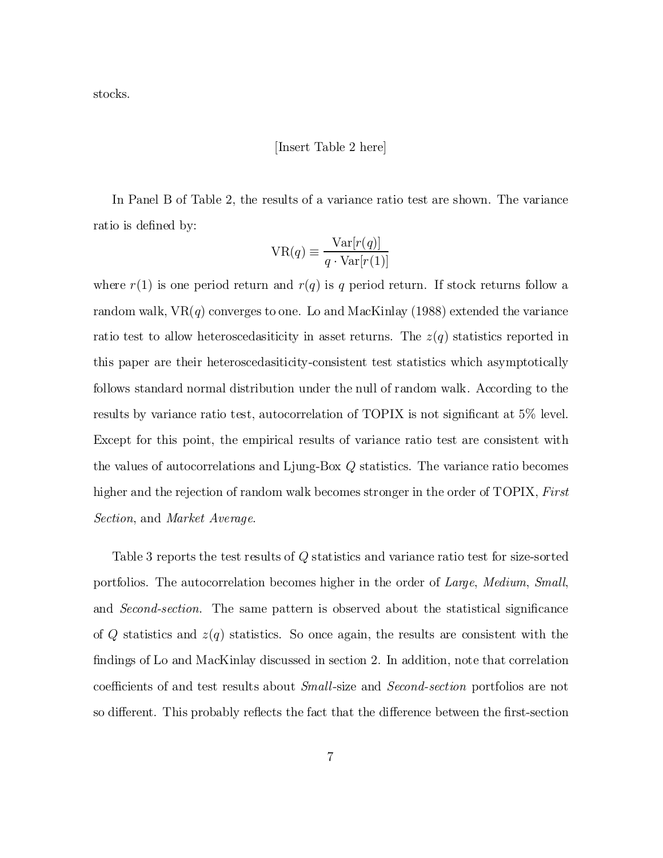stocks.

#### [Insert Table 2 here]

In Panel B of Table 2, the results of a variance ratio test are shown. The variance ratio is defined by:

$$
VR(q) \equiv \frac{Var[r(q)]}{q \cdot Var[r(1)]}
$$

where  $r(1)$  is one period return and  $r(q)$  is q period return. If stock returns follow a random walk,  $VR(q)$  converges to one. Lo and MacKinlay (1988) extended the variance ratio test to allow heteroscedasiticity in asset returns. The  $z(q)$  statistics reported in this paper are their heteroscedasiticity-consistent test statistics which asymptotically follows standard normal distribution under the null of random walk. According to the results by variance ratio test, autocorrelation of TOPIX is not significant at  $5\%$  level. Except for this point, the empirical results of variance ratio test are consistent with the values of autocorrelations and Ljung-Box Q statistics. The variance ratio becomes higher and the rejection of random walk becomes stronger in the order of TOPIX, First Section, and Market Average.

Table 3 reports the test results of Q statistics and variance ratio test for size-sorted portfolios. The autocorrelation becomes higher in the order of Large, Medium, Small, and *Second-section*. The same pattern is observed about the statistical significance of Q statistics and  $z(q)$  statistics. So once again, the results are consistent with the findings of Lo and MacKinlay discussed in section 2. In addition, note that correlation coefficients of and test results about *Small*-size and *Second-section* portfolios are not so different. This probably reflects the fact that the difference between the first-section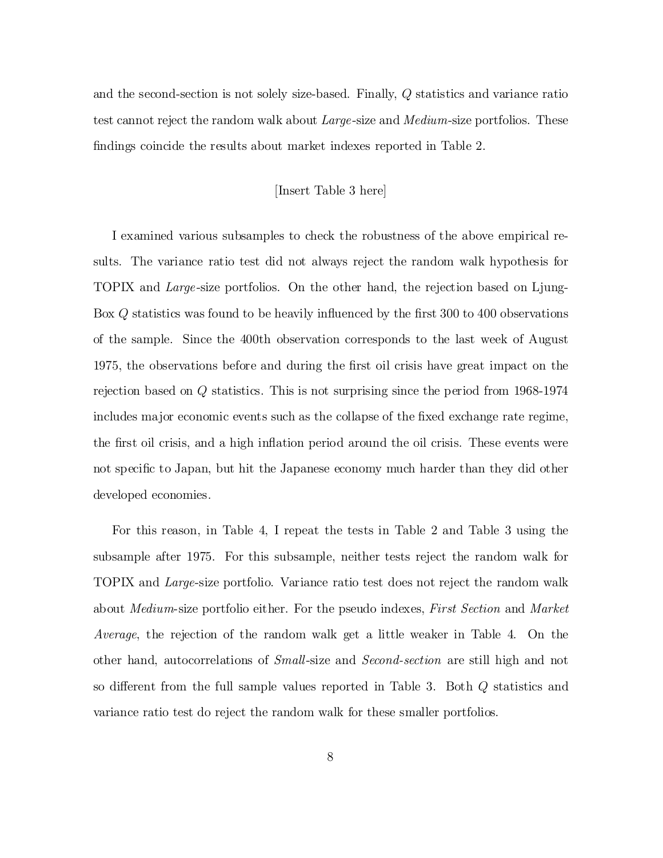and the second-section is not solely size-based. Finally, Q statistics and variance ratio test cannot reject the random walk about *Large*-size and *Medium*-size portfolios. These findings coincide the results about market indexes reported in Table 2.

#### [Insert Table 3 here]

I examined various subsamples to check the robustness of the above empirical results. The variance ratio test did not always reject the random walk hypothesis for TOPIX and Large -size portfolios. On the other hand, the rejection based on Ljung-Box  $Q$  statistics was found to be heavily influenced by the first 300 to 400 observations of the sample. Since the 400th observation corresponds to the last week of August 1975, the observations before and during the ¯rst oil crisis have great impact on the rejection based on Q statistics. This is not surprising since the period from 1968-1974 includes major economic events such as the collapse of the fixed exchange rate regime, the first oil crisis, and a high inflation period around the oil crisis. These events were not specific to Japan, but hit the Japanese economy much harder than they did other developed economies.

For this reason, in Table 4, I repeat the tests in Table 2 and Table 3 using the subsample after 1975. For this subsample, neither tests reject the random walk for TOPIX and Large-size portfolio. Variance ratio test does not reject the random walk about Medium-size portfolio either. For the pseudo indexes, First Section and Market Average, the rejection of the random walk get a little weaker in Table 4. On the other hand, autocorrelations of Small-size and Second-section are still high and not so different from the full sample values reported in Table 3. Both  $Q$  statistics and variance ratio test do reject the random walk for these smaller portfolios.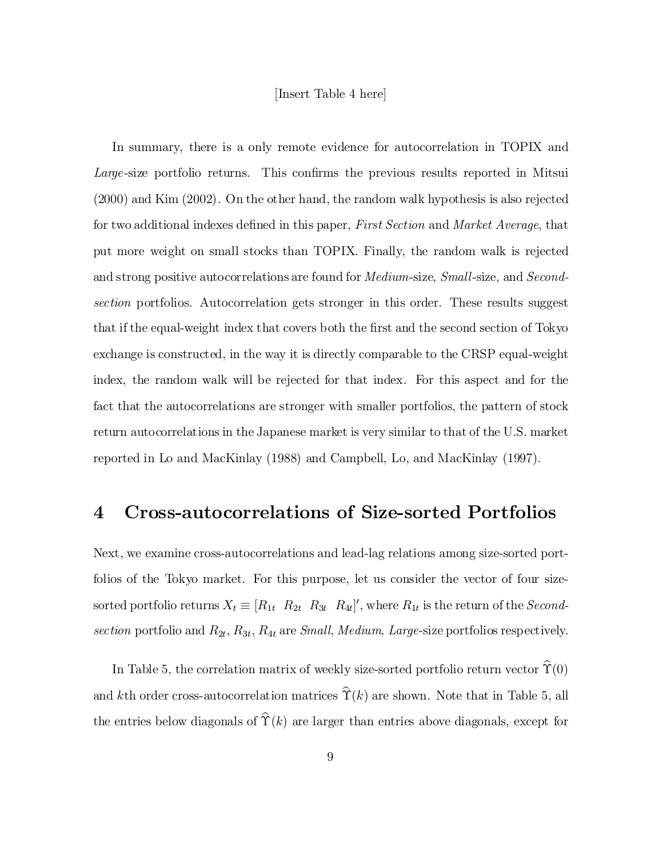#### [Insert Table 4 here]

In summary, there is a only remote evidence for autocorrelation in TOPIX and Large-size portfolio returns. This confirms the previous results reported in Mitsui (2000) and Kim (2002). On the other hand, the random walk hypothesis is also rejected for two additional indexes defined in this paper, First Section and Market Average, that put more weight on small stocks than TOPIX. Finally, the random walk is rejected and strong positive autocorrelations are found for Medium-size, Small-size, and Secondsection portfolios. Autocorrelation gets stronger in this order. These results suggest that if the equal-weight index that covers both the first and the second section of Tokyo exchange is constructed, in the way it is directly comparable to the CRSP equal-weight index, the random walk will be rejected for that index. For this aspect and for the fact that the autocorrelations are stronger with smaller portfolios, the pattern of stock return autocorrelations in the Japanese market is very similar to that of the U.S. market reported in Lo and MacKinlay (1988) and Campbell, Lo, and MacKinlay (1997).

### 4 Cross-autocorrelations of Size-sorted Portfolios

Next, we examine cross-autocorrelations and lead-lag relations among size-sorted portfolios of the Tokyo market. For this purpose, let us consider the vector of four sizesorted portfolio returns  $X_t \equiv [R_{1t} \ R_{2t} \ R_{3t} \ R_{4t}]'$ , where  $R_{1t}$  is the return of the *Second*section portfolio and  $R_{2t}$ ,  $R_{3t}$ ,  $R_{4t}$  are *Small*, *Medium*, *Large*-size portfolios respectively.

In Table 5, the correlation matrix of weekly size-sorted portfolio return vector  $\hat{\Upsilon}(0)$ and kth order cross-autocorrelation matrices  $\hat{\Upsilon}(k)$  are shown. Note that in Table 5, all the entries below diagonals of  $\hat{\Upsilon}(k)$  are larger than entries above diagonals, except for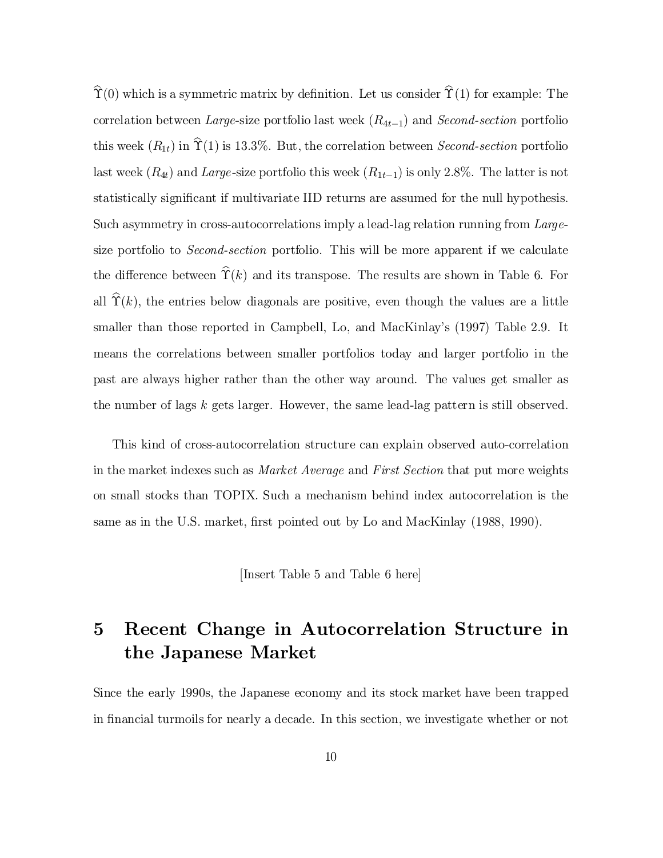$\hat{\Upsilon}(0)$  which is a symmetric matrix by definition. Let us consider  $\hat{\Upsilon}(1)$  for example: The correlation between Large-size portfolio last week  $(R_{4t-1})$  and Second-section portfolio this week  $(R_{1t})$  in  $\hat{\Upsilon}(1)$  is 13.3%. But, the correlation between *Second-section* portfolio last week  $(R_{4t})$  and Large-size portfolio this week  $(R_{1t-1})$  is only 2.8%. The latter is not statistically significant if multivariate IID returns are assumed for the null hypothesis. Such asymmetry in cross-autocorrelations imply a lead-lag relation running from Largesize portfolio to Second-section portfolio. This will be more apparent if we calculate the difference between  $\hat{\Upsilon}(k)$  and its transpose. The results are shown in Table 6. For all  $\hat{\Upsilon}(k)$ , the entries below diagonals are positive, even though the values are a little smaller than those reported in Campbell, Lo, and MacKinlay's (1997) Table 2.9. It means the correlations between smaller portfolios today and larger portfolio in the past are always higher rather than the other way around. The values get smaller as the number of lags k gets larger. However, the same lead-lag pattern is still observed.

This kind of cross-autocorrelation structure can explain observed auto-correlation in the market indexes such as Market Average and First Section that put more weights on small stocks than TOPIX. Such a mechanism behind index autocorrelation is the same as in the U.S. market, first pointed out by Lo and MacKinlay (1988, 1990).

[Insert Table 5 and Table 6 here]

## 5 Recent Change in Autocorrelation Structure in the Japanese Market

Since the early 1990s, the Japanese economy and its stock market have been trapped in financial turmoils for nearly a decade. In this section, we investigate whether or not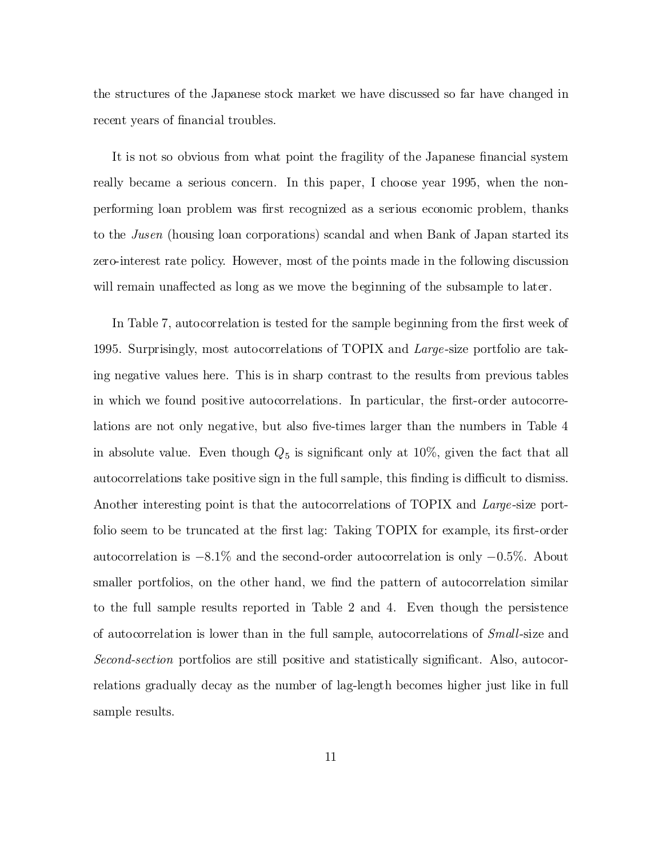the structures of the Japanese stock market we have discussed so far have changed in recent years of financial troubles.

It is not so obvious from what point the fragility of the Japanese financial system really became a serious concern. In this paper, I choose year 1995, when the nonperforming loan problem was first recognized as a serious economic problem, thanks to the Jusen (housing loan corporations) scandal and when Bank of Japan started its zero-interest rate policy. However, most of the points made in the following discussion will remain unaffected as long as we move the beginning of the subsample to later.

In Table 7, autocorrelation is tested for the sample beginning from the first week of 1995. Surprisingly, most autocorrelations of TOPIX and Large -size portfolio are taking negative values here. This is in sharp contrast to the results from previous tables in which we found positive autocorrelations. In particular, the first-order autocorrelations are not only negative, but also five-times larger than the numbers in Table 4 in absolute value. Even though  $Q_5$  is significant only at 10%, given the fact that all autocorrelations take positive sign in the full sample, this finding is difficult to dismiss. Another interesting point is that the autocorrelations of TOPIX and Large-size portfolio seem to be truncated at the first lag: Taking TOPIX for example, its first-order autocorrelation is  $-8.1\%$  and the second-order autocorrelation is only  $-0.5\%$ . About smaller portfolios, on the other hand, we find the pattern of autocorrelation similar to the full sample results reported in Table 2 and 4. Even though the persistence of autocorrelation is lower than in the full sample, autocorrelations of Small-size and  $Second-section$  portfolios are still positive and statistically significant. Also, autocorrelations gradually decay as the number of lag-length becomes higher just like in full sample results.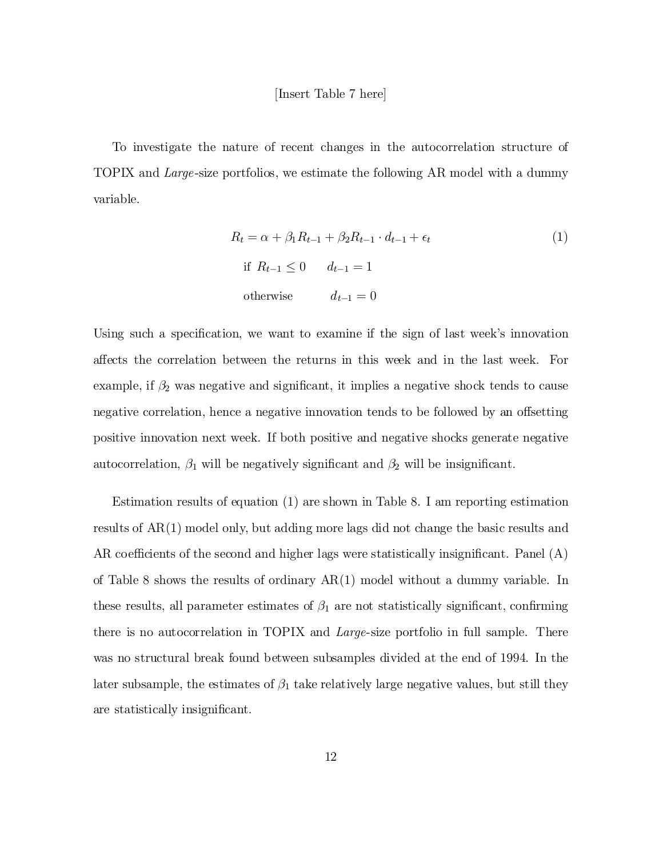To investigate the nature of recent changes in the autocorrelation structure of TOPIX and Large -size portfolios, we estimate the following AR model with a dummy variable.

$$
R_t = \alpha + \beta_1 R_{t-1} + \beta_2 R_{t-1} \cdot d_{t-1} + \epsilon_t
$$
  
if  $R_{t-1} \le 0$   $d_{t-1} = 1$   
otherwise  $d_{t-1} = 0$  (1)

Using such a specification, we want to examine if the sign of last week's innovation a®ects the correlation between the returns in this week and in the last week. For example, if  $\beta_2$  was negative and significant, it implies a negative shock tends to cause negative correlation, hence a negative innovation tends to be followed by an offsetting positive innovation next week. If both positive and negative shocks generate negative autocorrelation,  $\beta_1$  will be negatively significant and  $\beta_2$  will be insignificant.

Estimation results of equation (1) are shown in Table 8. I am reporting estimation results of AR(1) model only, but adding more lags did not change the basic results and AR coefficients of the second and higher lags were statistically insignificant. Panel  $(A)$ of Table 8 shows the results of ordinary AR(1) model without a dummy variable. In these results, all parameter estimates of  $\beta_1$  are not statistically significant, confirming there is no autocorrelation in TOPIX and Large-size portfolio in full sample. There was no structural break found between subsamples divided at the end of 1994. In the later subsample, the estimates of  $\beta_1$  take relatively large negative values, but still they are statistically insignificant.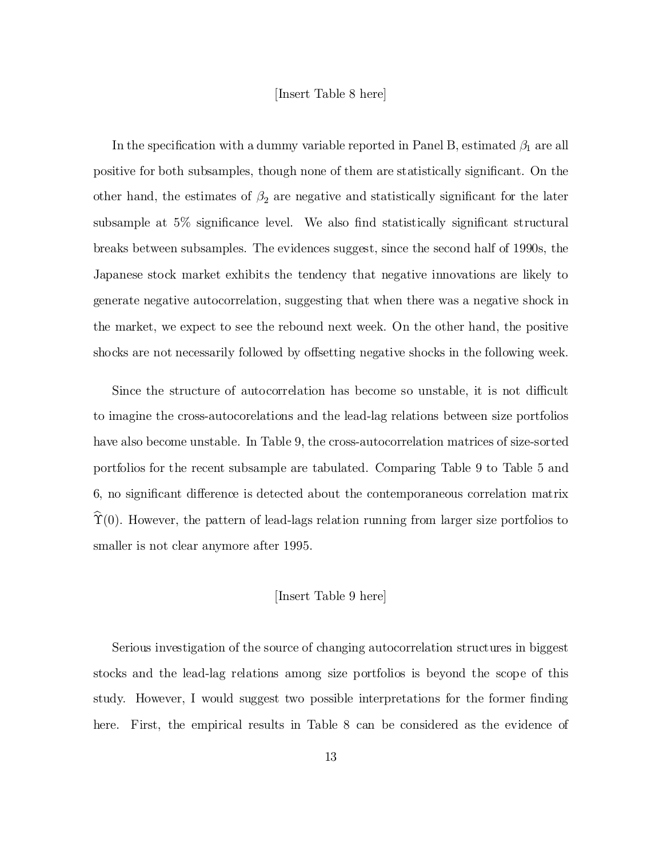#### [Insert Table 8 here]

In the specification with a dummy variable reported in Panel B, estimated  $\beta_1$  are all positive for both subsamples, though none of them are statistically significant. On the other hand, the estimates of  $\beta_2$  are negative and statistically significant for the later subsample at  $5\%$  significance level. We also find statistically significant structural breaks between subsamples. The evidences suggest, since the second half of 1990s, the Japanese stock market exhibits the tendency that negative innovations are likely to generate negative autocorrelation, suggesting that when there was a negative shock in the market, we expect to see the rebound next week. On the other hand, the positive shocks are not necessarily followed by offsetting negative shocks in the following week.

Since the structure of autocorrelation has become so unstable, it is not difficult to imagine the cross-autocorelations and the lead-lag relations between size portfolios have also become unstable. In Table 9, the cross-autocorrelation matrices of size-sorted portfolios for the recent subsample are tabulated. Comparing Table 9 to Table 5 and 6, no significant difference is detected about the contemporaneous correlation matrix  $\hat{\Upsilon}(0)$ . However, the pattern of lead-lags relation running from larger size portfolios to smaller is not clear anymore after 1995.

#### [Insert Table 9 here]

Serious investigation of the source of changing autocorrelation structures in biggest stocks and the lead-lag relations among size portfolios is beyond the scope of this study. However, I would suggest two possible interpretations for the former finding here. First, the empirical results in Table 8 can be considered as the evidence of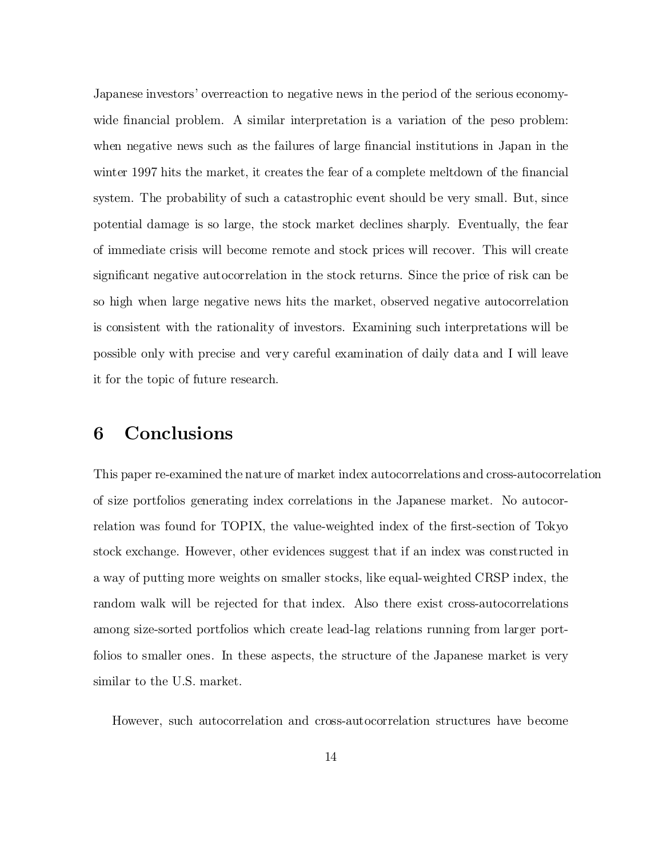Japanese investors' overreaction to negative news in the period of the serious economywide financial problem. A similar interpretation is a variation of the peso problem: when negative news such as the failures of large financial institutions in Japan in the winter 1997 hits the market, it creates the fear of a complete meltdown of the financial system. The probability of such a catastrophic event should be very small. But, since potential damage is so large, the stock market declines sharply. Eventually, the fear of immediate crisis will become remote and stock prices will recover. This will create significant negative autocorrelation in the stock returns. Since the price of risk can be so high when large negative news hits the market, observed negative autocorrelation is consistent with the rationality of investors. Examining such interpretations will be possible only with precise and very careful examination of daily data and I will leave it for the topic of future research.

## 6 Conclusions

This paper re-examined the nature of market index autocorrelations and cross-autocorrelation of size portfolios generating index correlations in the Japanese market. No autocorrelation was found for TOPIX, the value-weighted index of the first-section of Tokyo stock exchange. However, other evidences suggest that if an index was constructed in a way of putting more weights on smaller stocks, like equal-weighted CRSP index, the random walk will be rejected for that index. Also there exist cross-autocorrelations among size-sorted portfolios which create lead-lag relations running from larger portfolios to smaller ones. In these aspects, the structure of the Japanese market is very similar to the U.S. market.

However, such autocorrelation and cross-autocorrelation structures have become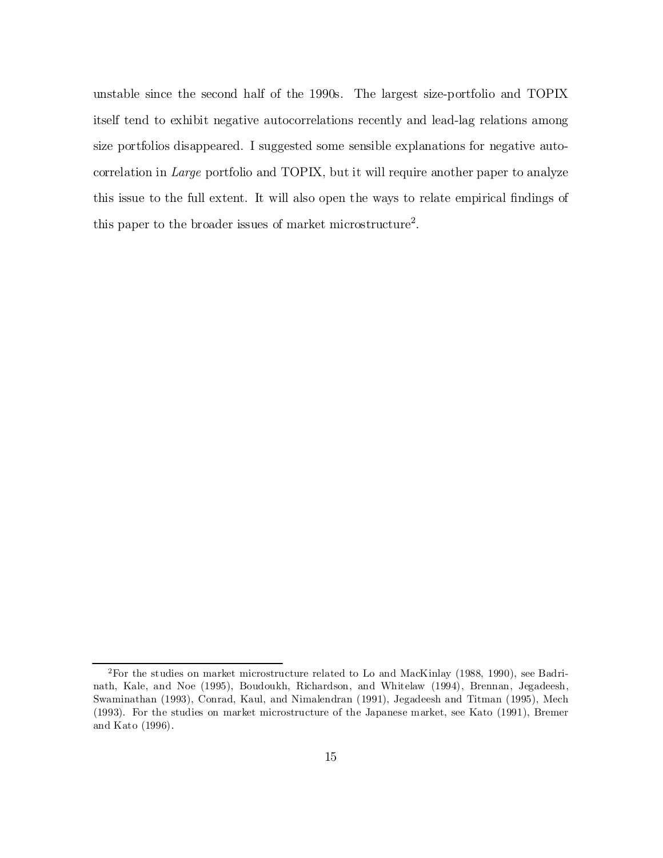unstable since the second half of the 1990s. The largest size-portfolio and TOPIX itself tend to exhibit negative autocorrelations recently and lead-lag relations among size portfolios disappeared. I suggested some sensible explanations for negative autocorrelation in *Large* portfolio and TOPIX, but it will require another paper to analyze this issue to the full extent. It will also open the ways to relate empirical findings of this paper to the broader issues of market microstructure 2 .

<sup>2</sup>For the studies on market microstructure related to Lo and MacKinlay (1988, 1990), see Badrinath, Kale, and Noe (1995), Boudoukh, Richardson, and Whitelaw (1994), Brennan, Jegadeesh, Swaminathan (1993), Conrad, Kaul, and Nimalendran (1991), Jegadeesh and Titman (1995), Mech (1993). For the studies on market microstructure of the Japanese market, see Kato (1991), Bremer and Kato (1996).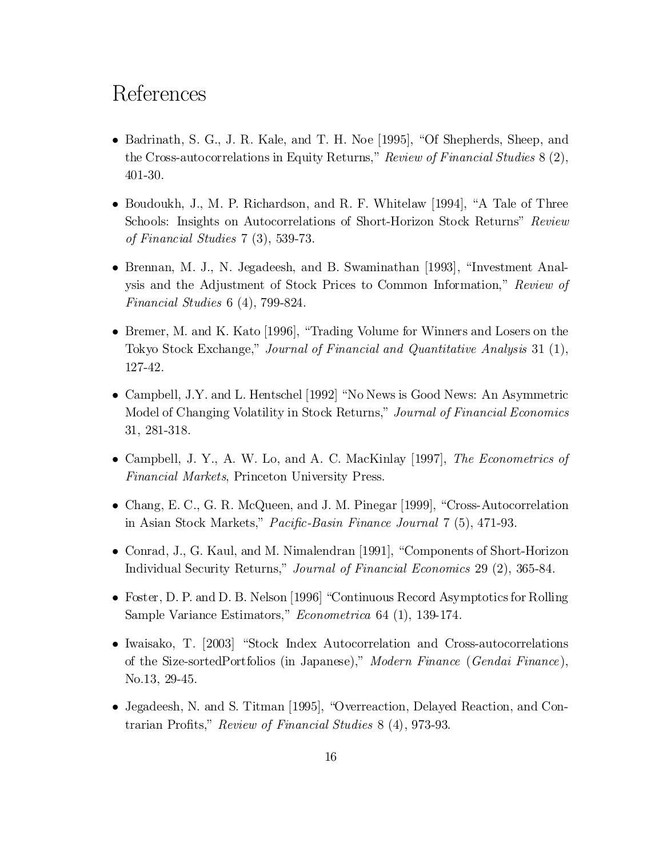## References

- $\bullet$  Badrinath, S. G., J. R. Kale, and T. H. Noe [1995], "Of Shepherds, Sheep, and the Cross-autocorrelations in Equity Returns," Review of Financial Studies 8 (2), 401-30.
- $\bullet$  Boudoukh, J., M. P. Richardson, and R. F. Whitelaw [1994], "A Tale of Three Schools: Insights on Autocorrelations of Short-Horizon Stock Returns" Review of Financial Studies 7 (3), 539-73.
- Brennan, M. J., N. Jegadeesh, and B. Swaminathan [1993], "Investment Analysis and the Adjustment of Stock Prices to Common Information," Review of Financial Studies 6 (4), 799-824.
- Bremer, M. and K. Kato [1996], "Trading Volume for Winners and Losers on the Tokyo Stock Exchange," Journal of Financial and Quantitative Analysis 31 (1), 127-42.
- Campbell, J.Y. and L. Hentschel [1992] "No News is Good News: An Asymmetric Model of Changing Volatility in Stock Returns," Journal of Financial Economics 31, 281-318.
- Campbell, J. Y., A. W. Lo, and A. C. MacKinlay [1997], The Econometrics of Financial Markets, Princeton University Press.
- Chang, E. C., G. R. McQueen, and J. M. Pinegar [1999], "Cross-Autocorrelation in Asian Stock Markets," Pacific-Basin Finance Journal  $7(5)$ , 471-93.
- Conrad, J., G. Kaul, and M. Nimalendran [1991], "Components of Short-Horizon Individual Security Returns," Journal of Financial Economics 29 (2), 365-84.
- Foster, D. P. and D. B. Nelson [1996] "Continuous Record Asymptotics for Rolling Sample Variance Estimators," Econometrica 64 (1), 139-174.
- $\bullet$  Iwaisako, T. [2003] "Stock Index Autocorrelation and Cross-autocorrelations of the Size-sortedPortfolios (in Japanese)," Modern Finance (Gendai Finance ), No.13, 29-45.
- Jegadeesh, N. and S. Titman [1995], "Overreaction, Delayed Reaction, and Contrarian Profits," Review of Financial Studies 8 (4), 973-93.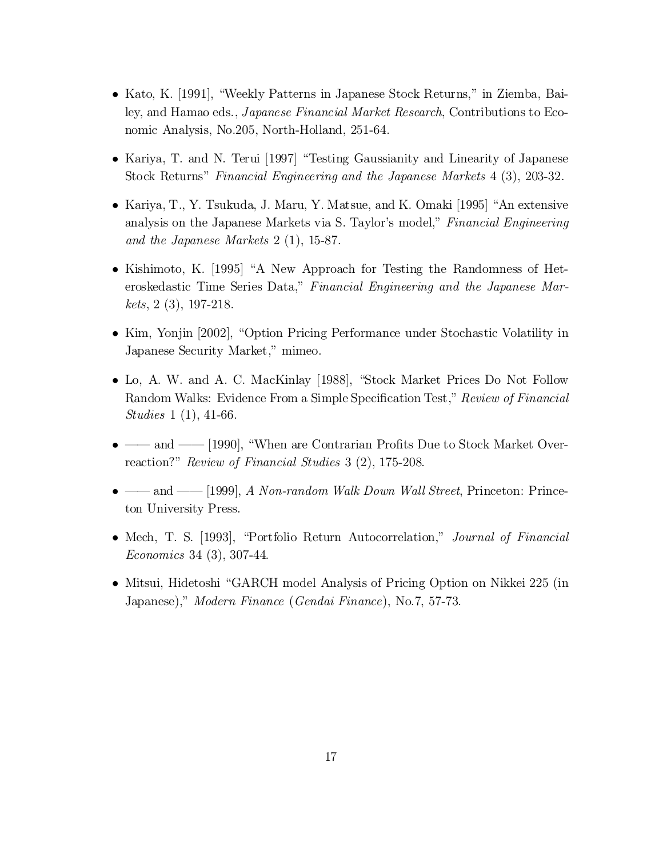- Kato, K. [1991], "Weekly Patterns in Japanese Stock Returns," in Ziemba, Bailey, and Hamao eds., Japanese Financial Market Research, Contributions to Economic Analysis, No.205, North-Holland, 251-64.
- Kariya, T. and N. Terui [1997] "Testing Gaussianity and Linearity of Japanese Stock Returns" Financial Engineering and the Japanese Markets 4 (3), 203-32.
- Kariya, T., Y. Tsukuda, J. Maru, Y. Matsue, and K. Omaki [1995] "An extensive analysis on the Japanese Markets via S. Taylor's model," Financial Engineering and the Japanese Markets 2 (1), 15-87.
- $\bullet$  Kishimoto, K. [1995] "A New Approach for Testing the Randomness of Heteroskedastic Time Series Data," Financial Engineering and the Japanese Markets, 2 (3), 197-218.
- Kim, Yonjin [2002], "Option Pricing Performance under Stochastic Volatility in Japanese Security Market," mimeo.
- Lo, A. W. and A. C. MacKinlay [1988], "Stock Market Prices Do Not Follow Random Walks: Evidence From a Simple Specification Test," Review of Financial Studies 1 (1), 41-66.
- |- and  $\sim$  [1990], "When are Contrarian Profits Due to Stock Market Overreaction?" Review of Financial Studies 3 (2), 175-208.
- $-$  and [1999], A Non-random Walk Down Wall Street, Princeton: Princeton University Press.
- Mech, T. S. [1993], "Portfolio Return Autocorrelation," *Journal of Financial* Economics 34 (3), 307-44.
- Mitsui, Hidetoshi "GARCH model Analysis of Pricing Option on Nikkei 225 (in Japanese)," Modern Finance (Gendai Finance), No.7, 57-73.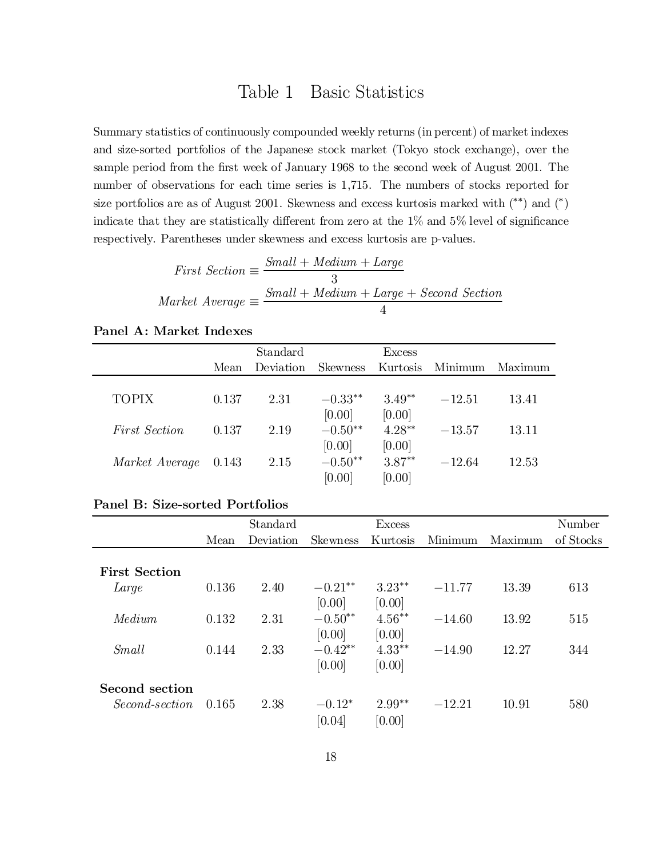## Table 1 Basic Statistics

Summary statistics of continuously compounded weekly returns (in percent) of market indexes and size-sorted portfolios of the Japanese stock market (Tokyo stock exchange), over the sample period from the first week of January 1968 to the second week of August 2001. The number of observations for each time series is 1,715. The numbers of stocks reported for size portfolios are as of August 2001. Skewness and excess kurtosis marked with  $(*^*)$  and  $(*)$ indicate that they are statistically different from zero at the  $1\%$  and  $5\%$  level of significance respectively. Parentheses under skewness and excess kurtosis are p-values.

| <i>First Section</i> $\equiv \frac{5\pi}{2}$ | $Small + Medium + Large$                  |
|----------------------------------------------|-------------------------------------------|
|                                              |                                           |
|                                              | $Small + Medium + Large + Second Section$ |
| Market Average $\equiv \frac{5m}{2}$         |                                           |

|                      |       | Standard  |           | Excess   |          |         |
|----------------------|-------|-----------|-----------|----------|----------|---------|
|                      | Mean  | Deviation | Skewness  | Kurtosis | Minimum  | Maximum |
|                      |       |           |           |          |          |         |
| <b>TOPIX</b>         | 0.137 | 2.31      | $-0.33**$ | $3.49**$ | $-12.51$ | 13.41   |
|                      |       |           | [0.00]    | [0.00]   |          |         |
| <i>First Section</i> | 0.137 | 2.19      | $-0.50**$ | $4.28**$ | $-13.57$ | 13.11   |
|                      |       |           | [0.00]    | [0.00]   |          |         |
| Market Average 0.143 |       | 2.15      | $-0.50**$ | $3.87**$ | $-12.64$ | 12.53   |
|                      |       |           | [0.00]    | [0.00]   |          |         |

### Panel A: Market Indexes

#### Panel B: Size-sorted Portfolios

|                      |       | Standard  |                     | <b>Excess</b>       |          |         | Number    |
|----------------------|-------|-----------|---------------------|---------------------|----------|---------|-----------|
|                      | Mean  | Deviation | <b>Skewness</b>     | Kurtosis            | Minimum  | Maximum | of Stocks |
| <b>First Section</b> |       |           |                     |                     |          |         |           |
| Large                | 0.136 | 2.40      | $-0.21**$<br>[0.00] | $3.23**$<br>[0.00]  | $-11.77$ | 13.39   | 613       |
| Medium               | 0.132 | 2.31      | $-0.50**$<br>[0.00] | $4.56***$<br>[0.00] | $-14.60$ | 13.92   | 515       |
| Small                | 0.144 | 2.33      | $-0.42**$<br>[0.00] | $4.33**$<br>[0.00]  | $-14.90$ | 12.27   | 344       |
| Second section       |       |           |                     |                     |          |         |           |
| Second-section       | 0.165 | 2.38      | $-0.12*$<br>[0.04]  | $2.99**$<br>[0.00]  | $-12.21$ | 10.91   | 580       |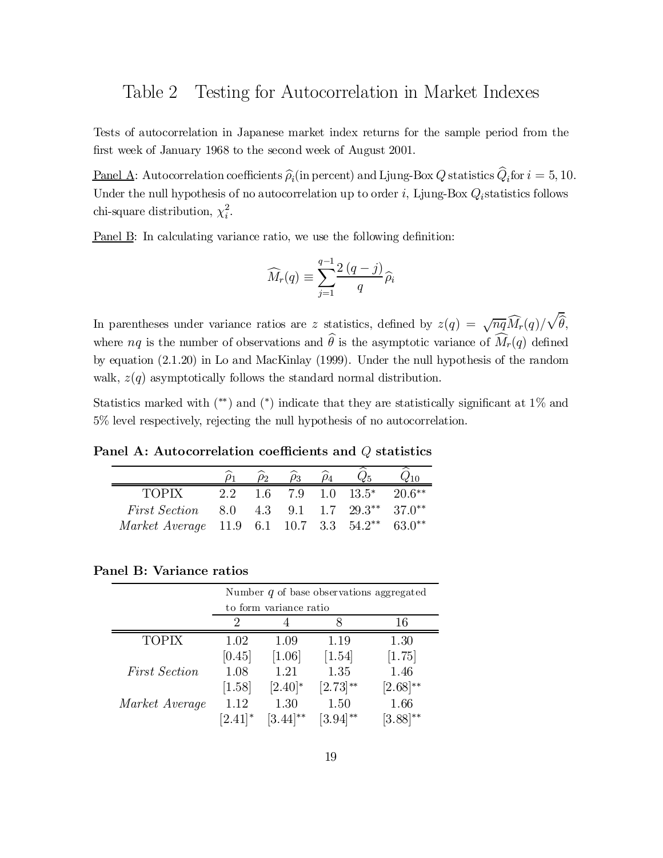### Table 2 Testing for Autocorrelation in Market Indexes

Tests of autocorrelation in Japanese market index returns for the sample period from the first week of January 1968 to the second week of August 2001.

Panel A: Autocorrelation coefficients  $\hat{\rho}_i$  (in percent) and Ljung-Box Q statistics  $Q_i$  for  $i = 5, 10$ . Under the null hypothesis of no autocorrelation up to order  $i$ , Ljung-Box  $Q_i$ statistics follows chi-square distribution,  $\chi_i^2$ .

<u>Panel B</u>: In calculating variance ratio, we use the following definition:

$$
\widehat{M}_r(q) \equiv \sum_{j=1}^{q-1} \frac{2(q-j)}{q} \widehat{\rho}_i
$$

In parentheses under variance ratios are z statistics, defined by  $z(q) = \sqrt{nq} \widehat{M}_r(q)/\sqrt{\widehat{\theta}}$ , where  $nq$  is the number of observations and  $\hat{\theta}$  is the asymptotic variance of  $\overline{\hat{M}}_r(q)$  defined by equation (2.1.20) in Lo and MacKinlay (1999). Under the null hypothesis of the random walk,  $z(q)$  asymptotically follows the standard normal distribution.

Statistics marked with  $(**)$  and  $(*)$  indicate that they are statistically significant at  $1\%$  and 5% level respectively, rejecting the null hypothesis of no autocorrelation.

Panel A: Autocorrelation coefficients and  $Q$  statistics

|                                         |     | ρэ. | $\rho_4$ |                                                                     |          |
|-----------------------------------------|-----|-----|----------|---------------------------------------------------------------------|----------|
| <b>TOPIX</b>                            | 2.2 |     |          | $1.6$ 7.9 $1.0$ $13.5^*$                                            | $20.6**$ |
| <i>First Section</i>                    |     |     |          | $8.0 \quad 4.3 \quad 9.1 \quad 1.7 \quad 29.3^{**} \quad 37.0^{**}$ |          |
| Market Average 11.9 6.1 10.7 3.3 54.2** |     |     |          |                                                                     | $63.0**$ |

Panel B: Variance ratios

|                      | Number $q$ of base observations aggregated |                        |                     |               |  |  |
|----------------------|--------------------------------------------|------------------------|---------------------|---------------|--|--|
|                      |                                            | to form variance ratio |                     |               |  |  |
|                      | ')                                         |                        | x                   | 16            |  |  |
| <b>TOPIX</b>         | 1.02                                       | 1.09                   | 1.19                | 1.30          |  |  |
|                      | [0.45]                                     | [1.06]                 | $\left[1.54\right]$ | [1.75]        |  |  |
| <b>First Section</b> | 1.08                                       | 1.21                   | 1.35                | 1.46          |  |  |
|                      | [1.58]                                     | $[2.40]$ *             | $[2.73]^{**}$       | $[2.68]^{**}$ |  |  |
| Market Average       | 1.12                                       | 1.30                   | 1.50                | 1.66          |  |  |
|                      | $[2.41]$ *                                 | $(3.44)$ **            | 3.94                | $(3.88)$ **   |  |  |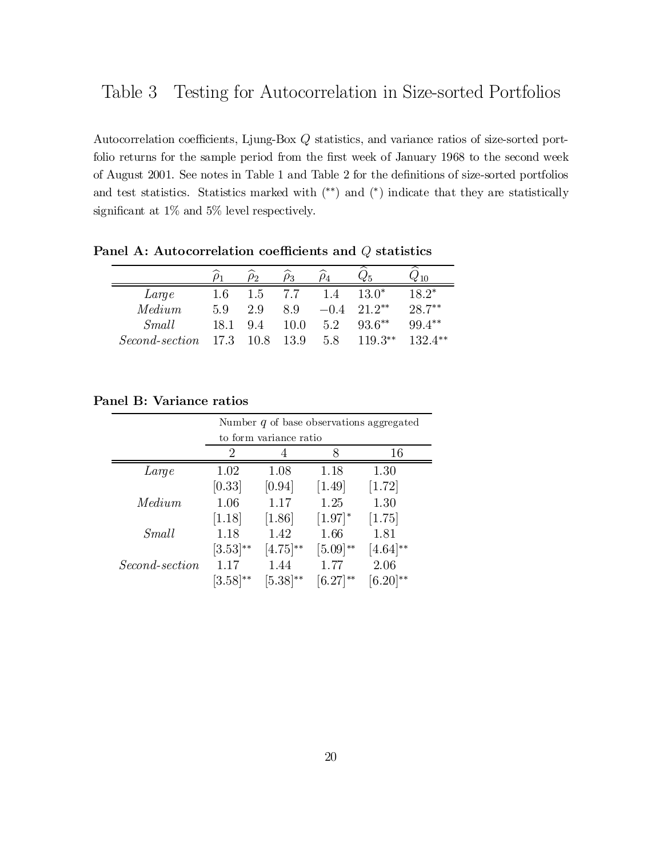Autocorrelation coefficients, Ljung-Box  $Q$  statistics, and variance ratios of size-sorted portfolio returns for the sample period from the first week of January 1968 to the second week of August 2001. See notes in Table 1 and Table 2 for the definitions of size-sorted portfolios and test statistics. Statistics marked with  $(**)$  and  $(*)$  indicate that they are statistically significant at  $1\%$  and  $5\%$  level respectively.

|                |      |      | $\rho_3$ |        |           | 410       |
|----------------|------|------|----------|--------|-----------|-----------|
| Large          | 1.6  | 1.5  | 7.7      | 1.4    | $13.0*$   | $18.2*$   |
| Median         | 59   | 2.9  | 8.9      | $-0.4$ | $21.2**$  | $28.7***$ |
| Small          | 18.1 | 9.4  | 10.0     | 5.2    | $93.6**$  | $99.4***$ |
| Second-section | 17.3 | 10.8 | 13.9     | 5.8    | $119.3**$ | $132.4**$ |

Panel A: Autocorrelation coefficients and  $Q$  statistics

### Panel B: Variance ratios

|                | Number $q$ of base observations aggregated |                        |                       |               |  |  |
|----------------|--------------------------------------------|------------------------|-----------------------|---------------|--|--|
|                |                                            | to form variance ratio |                       |               |  |  |
|                | 2                                          |                        | Χ                     | 16            |  |  |
| Large          | 1.02                                       | 1.08                   | 1.18                  | 1.30          |  |  |
|                | [0.33]                                     | [0.94]                 | $[1.49]$              | $[1.72]$      |  |  |
| Median         | 1.06                                       | 1.17                   | 1.25                  | 1.30          |  |  |
|                | [1.18]                                     | $[1.86]$               | $[1.97]$ <sup>*</sup> | [1.75]        |  |  |
| Small          | 1.18                                       | 1.42                   | 1.66                  | 1.81          |  |  |
|                | $[3.53]^{**}$                              | $[4.75]^{**}$          | $[5.09]^{**}$         | $[4.64]^{**}$ |  |  |
| Second-section | 1.17                                       | 1.44                   | 1.77                  | 2.06          |  |  |
|                | $ 3.58 ^{**}$                              | $[5.38]^{**}$          | $[6.27]^{**}$         | $(6.20)$ **   |  |  |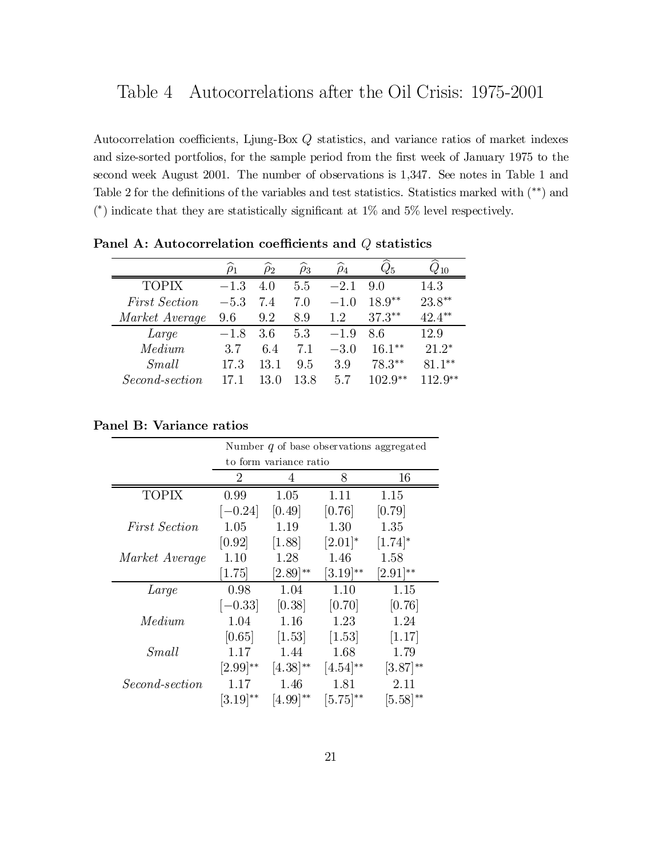Autocorrelation coefficients, Ljung-Box  $Q$  statistics, and variance ratios of market indexes and size-sorted portfolios, for the sample period from the first week of January 1975 to the second week August 2001. The number of observations is 1,347. See notes in Table 1 and Table 2 for the definitions of the variables and test statistics. Statistics marked with  $(**)$  and  $(*)$  indicate that they are statistically significant at 1\% and 5\% level respectively.

|                       |        | 02   | ρ3   | $\rho_4$ |           |           |
|-----------------------|--------|------|------|----------|-----------|-----------|
| <b>TOPIX</b>          | $-1.3$ | 4.0  | 5.5  | $-2.1$   | 9.0       | 14.3      |
| <b>First Section</b>  | $-5.3$ | 7.4  | 7.0  | $-1.0$   | $18.9**$  | $23.8**$  |
| Market Average        | 9.6    | 9.2  | 8.9  | 1.2      | $37.3***$ | $42.4***$ |
| Large                 | $-1.8$ | 3.6  | 5.3  | $-1.9$   | 8.6       | 12.9      |
| Medium                | 3.7    | 6.4  | 7.1  | $-3.0$   | $16.1***$ | $21.2*$   |
| Small                 | 17.3   | 13.1 | 9.5  | 3.9      | $78.3**$  | $81.1***$ |
| <i>Second-section</i> |        |      | 13.8 | 5.7      | $102.9**$ | $12.0**$  |

Panel A: Autocorrelation coefficients and  $Q$  statistics

### Panel B: Variance ratios

|                       | Number $q$ of base observations aggregated |                        |                      |                      |  |  |  |  |
|-----------------------|--------------------------------------------|------------------------|----------------------|----------------------|--|--|--|--|
|                       |                                            | to form variance ratio |                      |                      |  |  |  |  |
|                       | 2                                          | 4                      | 8                    | 16                   |  |  |  |  |
| <b>TOPIX</b>          | 0.99                                       | 1.05                   | 1.11                 | 1.15                 |  |  |  |  |
|                       | $[-0.24]$                                  | [0.49]                 | [0.76]               | [0.79]               |  |  |  |  |
| <i>First Section</i>  | 1.05                                       | 1.19                   | 1.30                 | 1.35                 |  |  |  |  |
|                       | [0.92]                                     | [1.88]                 | $[2.01]^{*}$         | $[1.74]^{*}$         |  |  |  |  |
| Market Average        | 1.10                                       | 1.28                   | 1.46                 | 1.58                 |  |  |  |  |
|                       | 1.75                                       | $2.89$ <sup>**</sup>   | $3.19$ <sup>**</sup> | $2.91$ <sup>**</sup> |  |  |  |  |
| Large                 | 0.98                                       | 1.04                   | 1.10                 | 1.15                 |  |  |  |  |
|                       | $[-0.33]$                                  | [0.38]                 | [0.70]               | [0.76]               |  |  |  |  |
| Medium                | 1.04                                       | 1.16                   | 1.23                 | 1.24                 |  |  |  |  |
|                       | [0.65]                                     | [1.53]                 | $[1.53]$             | [1.17]               |  |  |  |  |
| Small                 | 1.17                                       | 1.44                   | 1.68                 | 1.79                 |  |  |  |  |
|                       | $[2.99]^{**}$                              | $[4.38]^{**}$          | $[4.54]^{**}$        | $[3.87]^{**}$        |  |  |  |  |
| <i>Second-section</i> | 1.17                                       | 1.46                   | 1.81                 | 2.11                 |  |  |  |  |
|                       | $ 3.19 ^{**}$                              | $(4.99)$ **            | $ 5.75 ^{**}$        | $(5.58)**$           |  |  |  |  |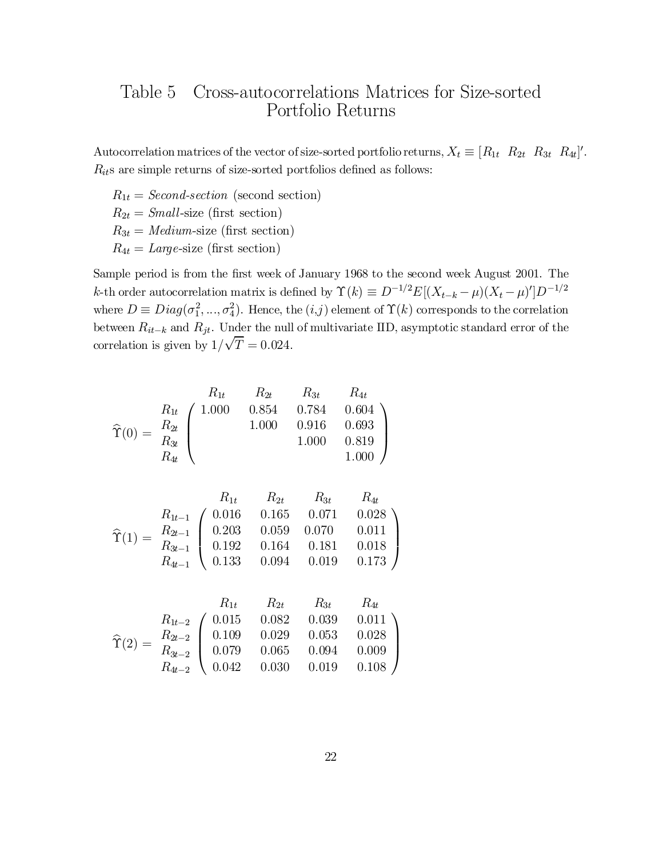### Table 5 Cross-autocorrelations Matrices for Size-sorted Portfolio Returns

Autocorrelation matrices of the vector of size-sorted portfolio returns,  $X_t \equiv [R_{1t} \ R_{2t} \ R_{3t} \ R_{4t}]'.$  $R_{it}$ s are simple returns of size-sorted portfolios defined as follows:

 $R_{1t} = Second\text{-}section$  (second section)  $R_{2t} = Small\text{-size (first section)}$  $R_{3t} = Medium$ -size (first section)  $R_{4t} = \text{Large-size (first section)}$ 

Sample period is from the first week of January 1968 to the second week August 2001. The k-th order autocorrelation matrix is defined by  $\Upsilon(k) \equiv D^{-1/2}E[(X_{t-k} - \mu)(X_t - \mu)']D^{-1/2}$ where  $D \equiv Diag(\sigma_1^2, ..., \sigma_4^2)$ . Hence, the  $(i, j)$  element of  $\Upsilon(k)$  corresponds to the correlation between  $R_{it-k}$  and  $R_{jt}$ . Under the null of multivariate IID, asymptotic standard error of the correlation is given by  $1/\sqrt{T} = 0.024$ .

$$
\widehat{\Upsilon}(0) = \begin{array}{c c c c c} & R_{1t} & R_{2t} & R_{3t} & R_{4t} \\ R_{1t} & 1.000 & 0.854 & 0.784 & 0.604 \\ R_{2t} & 1.000 & 0.916 & 0.693 \\ R_{4t} & & 1.000 & 0.819 \\ R_{4t} & & & 1.000 \end{array}
$$

$$
\widehat{\Upsilon}(1) = \begin{array}{c c c c c c} & R_{1t} & R_{2t} & R_{3t} & R_{4t} \\ R_{1t-1} & 0.016 & 0.165 & 0.071 & 0.028 \\ R_{2t-1} & 0.203 & 0.059 & 0.070 & 0.011 \\ R_{3t-1} & 0.192 & 0.164 & 0.181 & 0.018 \\ R_{4t-1} & 0.133 & 0.094 & 0.019 & 0.173 \end{array}
$$

$$
\widehat{\Upsilon}(2) = \begin{array}{c c c c c c} & R_{1t} & R_{2t} & R_{3t} & R_{4t} \\ R_{1t-2} & 0.015 & 0.082 & 0.039 & 0.011 \\ R_{2t-2} & 0.109 & 0.029 & 0.053 & 0.028 \\ R_{3t-2} & 0.079 & 0.065 & 0.094 & 0.009 \\ R_{4t-2} & 0.042 & 0.030 & 0.019 & 0.108 \end{array}
$$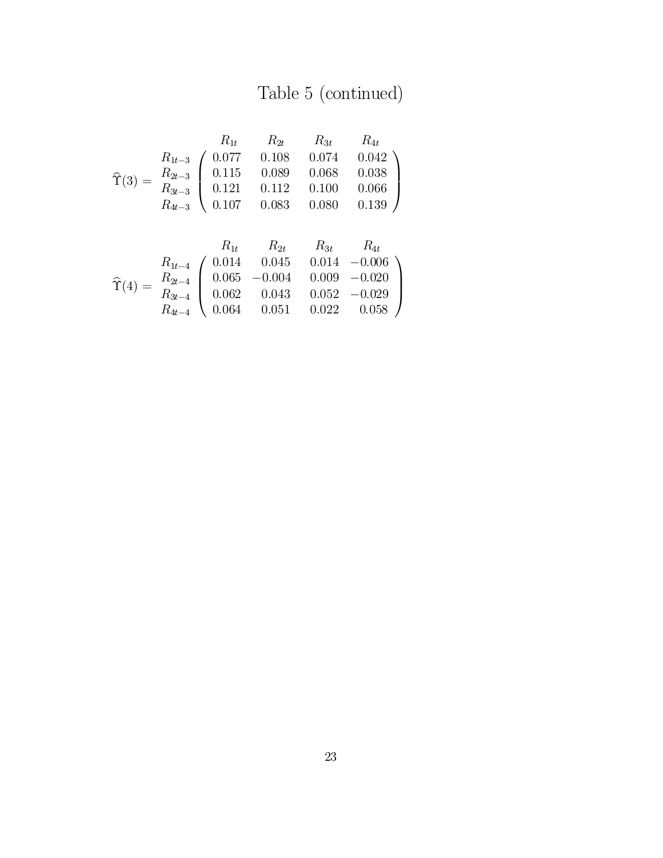# Table 5 (continued)

$$
\hat{\Upsilon}(3) = \begin{array}{c c c c c c} & R_{1t} & R_{2t} & R_{3t} & R_{4t} \\ R_{1t-3} & 0.077 & 0.108 & 0.074 & 0.042 \\ R_{2t-3} & 0.115 & 0.089 & 0.068 & 0.038 \\ R_{3t-3} & 0.121 & 0.112 & 0.100 & 0.066 \\ R_{4t-3} & 0.107 & 0.083 & 0.080 & 0.139 \end{array}
$$

$$
\hat{\Upsilon}(4) = \begin{array}{c} R_{1t} & R_{2t} & R_{3t} & R_{4t} \\ R_{1t-4} & 0.014 & 0.045 & 0.014 & -0.006 \\ R_{2t-4} & 0.065 & -0.004 & 0.009 & -0.020 \\ R_{3t-4} & 0.062 & 0.043 & 0.052 & -0.029 \\ R_{4t-4} & 0.064 & 0.051 & 0.022 & 0.058 \end{array}
$$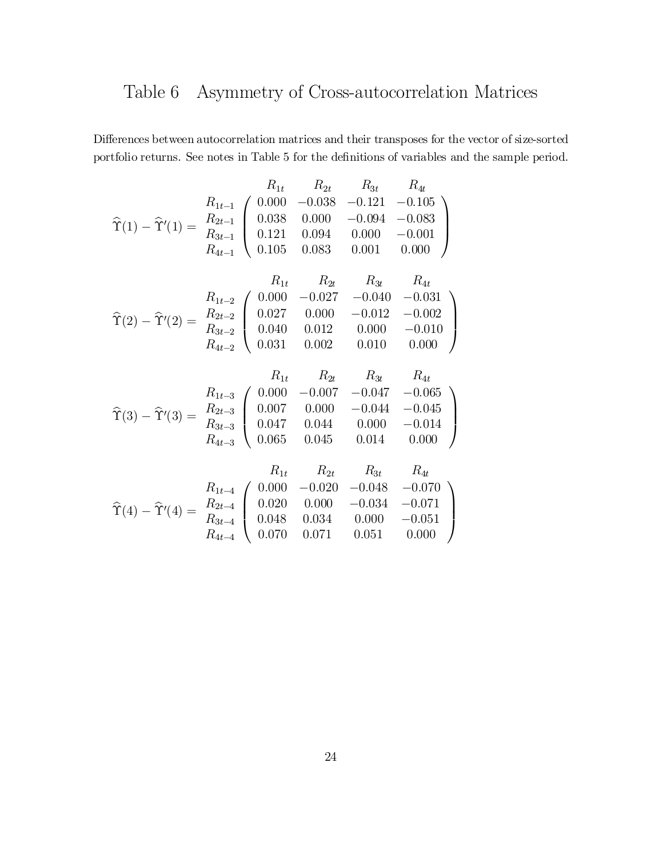## Table 6 Asymmetry of Cross-autocorrelation Matrices

 $\emph{Differences}$  between autocorrelation matrices and their transposes for the vector of size-sorted portfolio returns. See notes in Table 5 for the definitions of variables and the sample period.

$$
R_{1t} \t R_{2t} \t R_{3t} \t R_{4t}
$$
\n
$$
\hat{\Upsilon}(1) - \hat{\Upsilon}'(1) = \frac{R_{2t-1}}{R_{3t-1}} \begin{pmatrix} 0.000 & -0.038 & -0.121 & -0.105 \\ 0.038 & 0.000 & -0.094 & -0.083 \\ 0.121 & 0.094 & 0.000 & -0.001 \\ R_{4t-1} \t 0.105 & 0.083 & 0.001 & 0.000 \end{pmatrix}
$$
\n
$$
R_{1t} \t R_{2t} \t R_{3t} \t R_{4t}
$$
\n
$$
\hat{\Upsilon}(2) - \hat{\Upsilon}'(2) = \frac{R_{2t-2}}{R_{3t-2}} \begin{pmatrix} 0.000 & -0.027 & -0.040 & -0.031 \\ 0.027 & 0.000 & -0.012 & -0.002 \\ 0.040 & 0.012 & 0.000 & -0.010 \\ 0.031 & 0.002 & 0.010 & 0.000 \end{pmatrix}
$$

$$
\widehat{\Upsilon}(3) - \widehat{\Upsilon}'(3) = \begin{array}{c} R_{1t} & R_{2t} & R_{3t} & R_{4t} \\ R_{1t-3} & 0.000 & -0.007 & -0.047 & -0.065 \\ R_{2t-3} & 0.007 & 0.000 & -0.044 & -0.045 \\ R_{3t-3} & 0.047 & 0.044 & 0.000 & -0.014 \\ R_{4t-3} & 0.065 & 0.045 & 0.014 & 0.000 \end{array}
$$

$$
\widehat{\Upsilon}(4) - \widehat{\Upsilon}'(4) = \begin{array}{c} R_{1t} & R_{2t} & R_{3t} & R_{4t} \\ R_{1t-4} & 0.000 & -0.020 & -0.048 & -0.070 \\ R_{2t-4} & 0.020 & 0.000 & -0.034 & -0.071 \\ R_{3t-4} & 0.048 & 0.034 & 0.000 & -0.051 \\ R_{4t-4} & 0.070 & 0.071 & 0.051 & 0.000 \end{array}
$$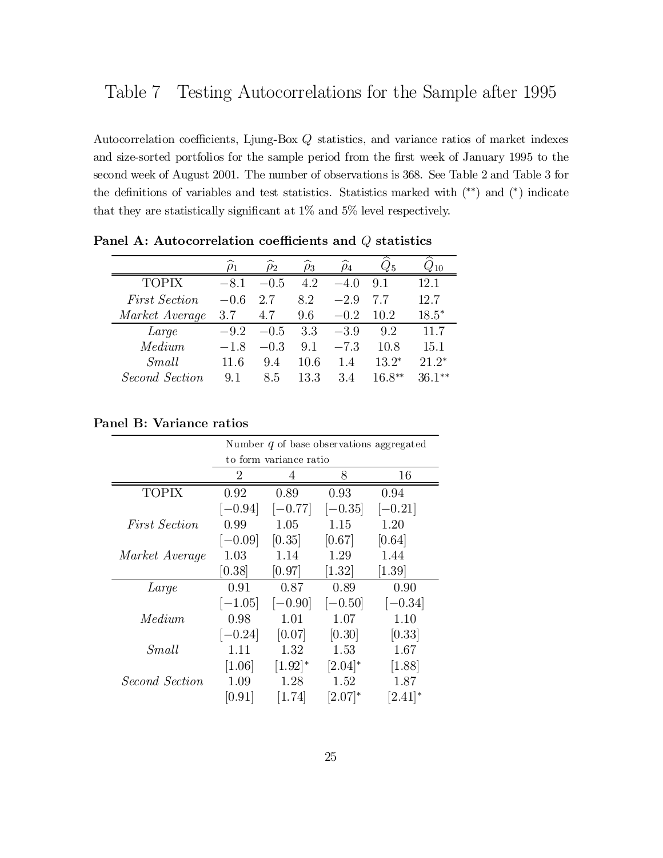Autocorrelation coefficients, Ljung-Box  $Q$  statistics, and variance ratios of market indexes and size-sorted portfolios for the sample period from the first week of January 1995 to the second week of August 2001. The number of observations is 368. See Table 2 and Table 3 for the definitions of variables and test statistics. Statistics marked with  $(*^*)$  and  $(*)$  indicate that they are statistically significant at  $1\%$  and  $5\%$  level respectively.

|                      |        |        | ρ3   |        |          | 10       |
|----------------------|--------|--------|------|--------|----------|----------|
| <b>TOPIX</b>         | $-8.1$ | $-0.5$ | 4.2  | $-4.0$ | 9.1      | 12.1     |
| <b>First Section</b> | $-0.6$ | 2.7    | 8.2  | $-2.9$ |          | 12.7     |
| Market Average       | 3.7    | 4.7    | 9.6  | $-0.2$ | 10.2     | $18.5*$  |
| Large                | $-9.2$ | $-0.5$ | 3.3  | $-3.9$ | 9.2      | 11.7     |
| Median               | $-1.8$ | $-0.3$ | 9.1  | $-7.3$ | 10.8     | 15.1     |
| Small                | 11.6   | 9.4    | 10.6 | 1.4    | $13.2^*$ | $21.2*$  |
| Second Section       | 9.1    | 8.5    | 13.3 | 3.4    | $16.8**$ | $36.1**$ |

Panel A: Autocorrelation coefficients and  $Q$  statistics

### Panel B: Variance ratios

|                      | Number $q$ of base observations aggregated |                        |            |           |  |  |  |  |
|----------------------|--------------------------------------------|------------------------|------------|-----------|--|--|--|--|
|                      |                                            | to form variance ratio |            |           |  |  |  |  |
|                      | 2                                          |                        | 8          | 16        |  |  |  |  |
| <b>TOPIX</b>         | 0.92                                       | 0.89                   | 0.93       | 0.94      |  |  |  |  |
|                      | $[-0.94]$                                  | $ -0.77 $              | $[-0.35]$  | $[-0.21]$ |  |  |  |  |
| <i>First Section</i> | 0.99                                       | 1.05                   | 1.15       | 1.20      |  |  |  |  |
|                      | $[-0.09]$                                  | [0.35]                 | [0.67]     | [0.64]    |  |  |  |  |
| Market Average       | 1.03                                       | 1.14                   | 1.29       | 1.44      |  |  |  |  |
|                      | [0.38]                                     | [0.97]                 | [1.32]     | [1.39]    |  |  |  |  |
| Large                | 0.91                                       | 0.87                   | 0.89       | 0.90      |  |  |  |  |
|                      | $[-1.05]$                                  | $[-0.90]$              | $[-0.50]$  | $[-0.34]$ |  |  |  |  |
| Median               | 0.98                                       | 1.01                   | 1.07       | 1.10      |  |  |  |  |
|                      | $[-0.24]$                                  | [0.07]                 | [0.30]     | [0.33]    |  |  |  |  |
| Small                | 1.11                                       | 1.32                   | 1.53       | 1.67      |  |  |  |  |
|                      | [1.06]                                     | $[1.92]$ <sup>*</sup>  | $[2.04]*$  | [1.88]    |  |  |  |  |
| Second Section       | 1.09                                       | 1.28                   | 1.52       | 1.87      |  |  |  |  |
|                      | [0.91]                                     | [1.74]                 | $[2.07]^*$ | [2.41]    |  |  |  |  |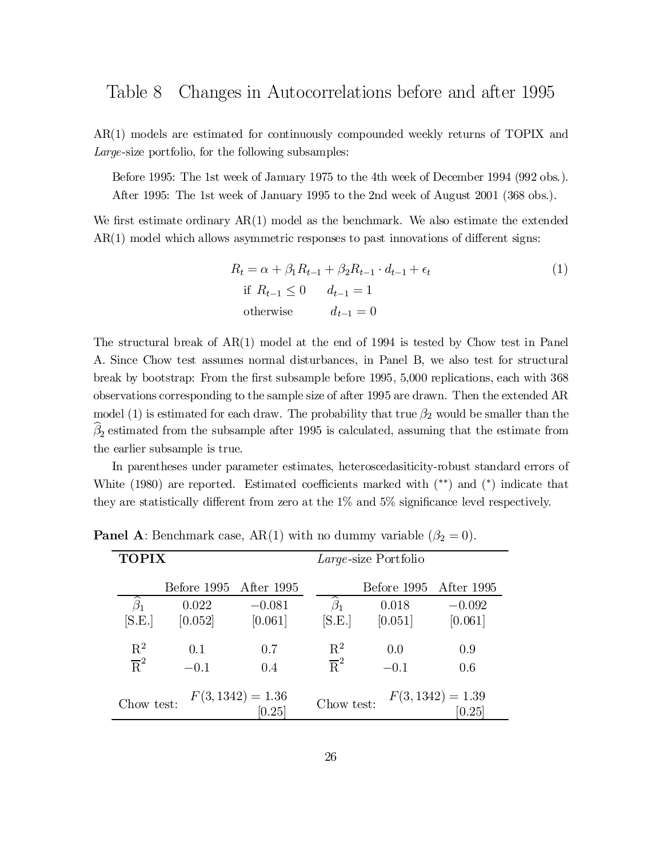AR(1) models are estimated for continuously compounded weekly returns of TOPIX and Large-size portfolio, for the following subsamples:

Before 1995: The 1st week of January 1975 to the 4th week of December 1994 (992 obs.). After 1995: The 1st week of January 1995 to the 2nd week of August 2001 (368 obs.).

We first estimate ordinary  $AR(1)$  model as the benchmark. We also estimate the extended  $AR(1)$  model which allows asymmetric responses to past innovations of different signs:

$$
R_{t} = \alpha + \beta_{1} R_{t-1} + \beta_{2} R_{t-1} \cdot d_{t-1} + \epsilon_{t}
$$
  
if  $R_{t-1} \le 0$   $d_{t-1} = 1$   
otherwise  $d_{t-1} = 0$  (1)

The structural break of AR(1) model at the end of 1994 is tested by Chow test in Panel A. Since Chow test assumes normal disturbances, in Panel B, we also test for structural break by bootstrap: From the first subsample before 1995, 5,000 replications, each with 368 observations corresponding to the sample size of after 1995 are drawn. Then the extended AR model (1) is estimated for each draw. The probability that true  $\beta_2$  would be smaller than the  $\beta_2$  estimated from the subsample after 1995 is calculated, assuming that the estimate from the earlier subsample is true.

In parentheses under parameter estimates, heteroscedasiticity-robust standard errors of White  $(1980)$  are reported. Estimated coefficients marked with  $(**)$  and  $(*)$  indicate that they are statistically different from zero at the  $1\%$  and  $5\%$  significance level respectively.

| <b>TOPIX</b>        |             |                               |                  | Large-size Portfolio   |                               |
|---------------------|-------------|-------------------------------|------------------|------------------------|-------------------------------|
|                     | Before 1995 | After 1995                    |                  | Before 1995 After 1995 |                               |
| $\widehat{\beta}_1$ | 0.022       | $-0.081$                      | $\beta_1$        | 0.018                  | $-0.092$                      |
| [S.E.]              | [0.052]     | [0.061]                       | [S.E.]           | [0.051]                | [0.061]                       |
| $\mathbf{R}^2$      | 0.1         | 0.7                           | $\mathbf{R}^2$   | 0.0                    | 0.9                           |
| $\overline{R}^2$    | $-0.1$      | 0.4                           | $\overline{R}^2$ | $-0.1$                 | 0.6                           |
| Chow test:          |             | $F(3, 1342) = 1.36$<br>[0.25] | Chow test:       |                        | $F(3, 1342) = 1.39$<br>[0.25] |

**Panel A:** Benchmark case, AR(1) with no dummy variable  $(\beta_2 = 0)$ .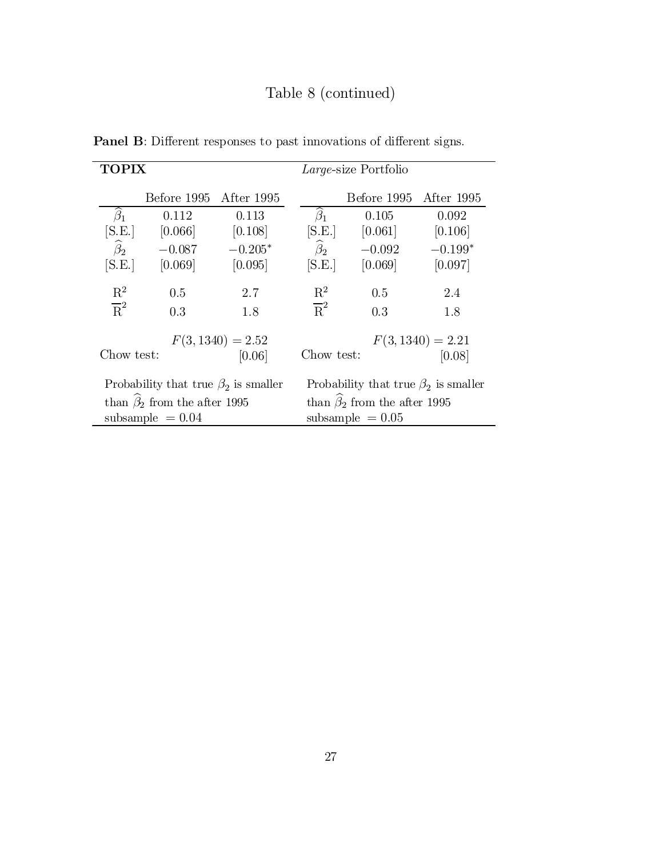## Table 8 (continued)

| TOPIX                                       |             |            | Large-size Portfolio                        |             |            |
|---------------------------------------------|-------------|------------|---------------------------------------------|-------------|------------|
|                                             | Before 1995 | After 1995 |                                             | Before 1995 | After 1995 |
| $\widehat{\beta}_1$                         | 0.112       | 0.113      | $\widehat{\beta}_1$                         | 0.105       | 0.092      |
| [S.E.]                                      | [0.066]     | [0.108]    | [S.E.]                                      | $[0.061]$   | [0.106]    |
| $\widehat{\beta}_2$                         | $-0.087$    | $-0.205*$  | $\widehat{\beta}_2$                         | $-0.092$    | $-0.199*$  |
| [S.E.]                                      | [0.069]     | [0.095]    | [S.E.]                                      | [0.069]     | [0.097]    |
| $\mathbf{R}^2$                              | 0.5         | 2.7        | $\mathbf{R}^2$                              | 0.5         | 2.4        |
| $\overline{R}^2$                            | 0.3         | 1.8        | $\overline{R}^2$                            | 0.3         | 1.8        |
| $F(3, 1340) = 2.52$<br>Chow test:<br>[0.06] |             |            | $F(3, 1340) = 2.21$<br>Chow test:<br>[0.08] |             |            |
| Probability that true $\beta_2$ is smaller  |             |            | Probability that true $\beta_2$ is smaller  |             |            |
| than $\hat{\beta}_2$ from the after 1995    |             |            | than $\hat{\beta}_2$ from the after 1995    |             |            |
| subsample $= 0.04$                          |             |            | subsample $= 0.05$                          |             |            |

Panel B: Different responses to past innovations of different signs.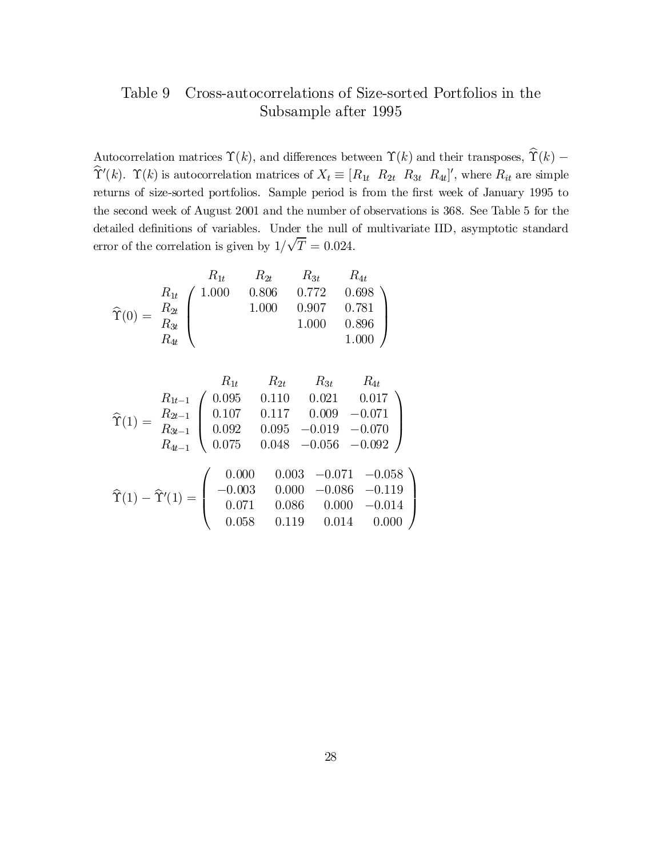### Table 9 Cross-autocorrelations of Size-sorted Portfolios in the Subsample after 1995

Autocorrelation matrices  $\Upsilon(k)$ , and differences between  $\Upsilon(k)$  and their transposes,  $\widehat{\Upsilon}(k)$  –  $\Upsilon'(k)$ .  $\Upsilon(k)$  is autocorrelation matrices of  $X_t \equiv [R_{1t} \ R_{2t} \ R_{3t} \ R_{4t}]'$ , where  $R_{it}$  are simple returns of size-sorted portfolios. Sample period is from the first week of January 1995 to the second week of August 2001 and the number of observations is 368. See Table 5 for the detailed definitions of variables. Under the null of multivariate IID, asymptotic standard error of the correlation is given by  $1/\sqrt{T} = 0.024$ .

$$
\widehat{\Upsilon}(0) = \begin{array}{c} R_{1t} & R_{2t} & R_{3t} & R_{4t} \\ R_{1t} & 1.000 & 0.806 & 0.772 & 0.698 \\ R_{2t} & 1.000 & 0.907 & 0.781 \\ R_{4t} & 1.000 & 0.896 \\ R_{4t} & 1.000 & 1.000 \end{array}
$$

$$
\hat{\Upsilon}(1) = \frac{R_{1t-1}}{R_{2t-1}} \begin{pmatrix}\n0.095 & 0.110 & 0.021 & 0.017 \\
0.107 & 0.117 & 0.009 & -0.071 \\
0.092 & 0.095 & -0.019 & -0.070 \\
0.075 & 0.048 & -0.056 & -0.092\n\end{pmatrix}
$$
\n
$$
\hat{\Upsilon}(1) - \hat{\Upsilon}'(1) = \begin{pmatrix}\n0.000 & 0.003 & -0.071 & -0.058 \\
-0.003 & 0.000 & -0.086 & -0.119 \\
0.071 & 0.086 & 0.000 & -0.014 \\
0.058 & 0.119 & 0.014 & 0.000\n\end{pmatrix}
$$